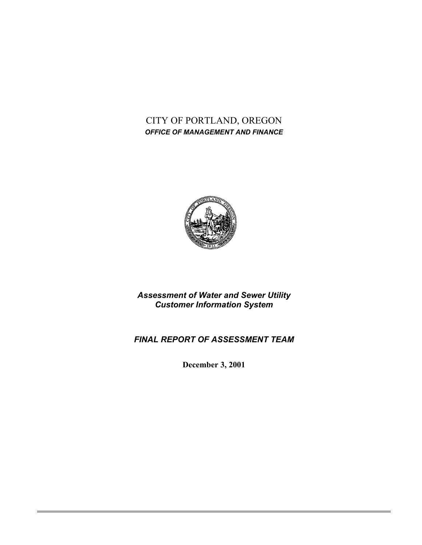# CITY OF PORTLAND, OREGON *OFFICE OF MANAGEMENT AND FINANCE*



*Assessment of Water and Sewer Utility Customer Information System*

# *FINAL REPORT OF ASSESSMENT TEAM*

**December 3, 2001**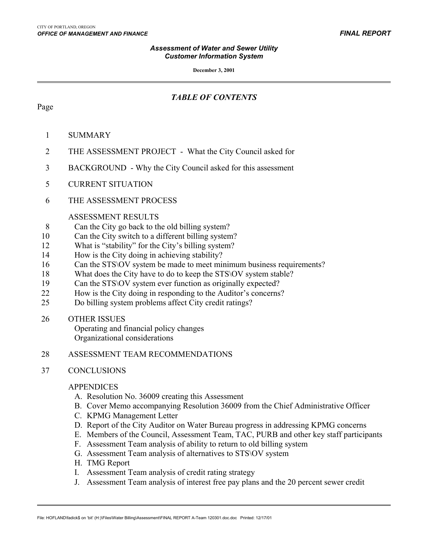**December 3, 2001**

## *TABLE OF CONTENTS*

### Page

 $\overline{a}$ 

- 1 SUMMARY
- 2 THE ASSESSMENT PROJECT What the City Council asked for
- 3 BACKGROUND Why the City Council asked for this assessment
- 5 CURRENT SITUATION
- 6 THE ASSESSMENT PROCESS

### ASSESSMENT RESULTS

- 8 Can the City go back to the old billing system?
- 10 Can the City switch to a different billing system?
- 12 What is "stability" for the City's billing system?
- 14 How is the City doing in achieving stability?
- 16 Can the STS OV system be made to meet minimum business requirements?
- 18 What does the City have to do to keep the STS\OV system stable?
- 19 Can the STS \ OV system ever function as originally expected?
- 22 How is the City doing in responding to the Auditor's concerns?
- 25 Do billing system problems affect City credit ratings?
- 26 OTHER ISSUES

Operating and financial policy changes Organizational considerations

### 28 ASSESSMENT TEAM RECOMMENDATIONS

### 37 CONCLUSIONS

### APPENDICES

- A. Resolution No. 36009 creating this Assessment
- B. Cover Memo accompanying Resolution 36009 from the Chief Administrative Officer
- C. KPMG Management Letter
- D. Report of the City Auditor on Water Bureau progress in addressing KPMG concerns
- E. Members of the Council, Assessment Team, TAC, PURB and other key staff participants
- F. Assessment Team analysis of ability to return to old billing system
- G. Assessment Team analysis of alternatives to STS\OV system
- H. TMG Report
- I. Assessment Team analysis of credit rating strategy
- J. Assessment Team analysis of interest free pay plans and the 20 percent sewer credit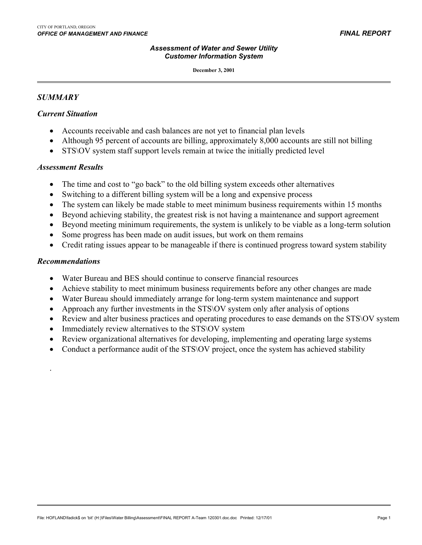**December 3, 2001**

#### *SUMMARY*

 $\overline{a}$ 

#### *Current Situation*

- Accounts receivable and cash balances are not yet to financial plan levels
- Although 95 percent of accounts are billing, approximately 8,000 accounts are still not billing
- STS\OV system staff support levels remain at twice the initially predicted level

#### *Assessment Results*

- The time and cost to "go back" to the old billing system exceeds other alternatives
- Switching to a different billing system will be a long and expensive process
- The system can likely be made stable to meet minimum business requirements within 15 months
- Beyond achieving stability, the greatest risk is not having a maintenance and support agreement
- Beyond meeting minimum requirements, the system is unlikely to be viable as a long-term solution
- Some progress has been made on audit issues, but work on them remains
- Credit rating issues appear to be manageable if there is continued progress toward system stability

#### *Recommendations*

.

- Water Bureau and BES should continue to conserve financial resources
- Achieve stability to meet minimum business requirements before any other changes are made
- Water Bureau should immediately arrange for long-term system maintenance and support
- Approach any further investments in the STS\OV system only after analysis of options
- Review and alter business practices and operating procedures to ease demands on the STS\OV system
- Immediately review alternatives to the STS\OV system
- Review organizational alternatives for developing, implementing and operating large systems
- Conduct a performance audit of the STS\OV project, once the system has achieved stability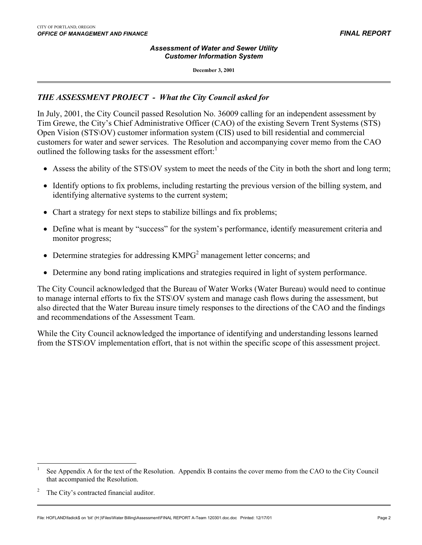#### *Assessment of Water and Sewer Utility Customer Information System*

**December 3, 2001**

### *THE ASSESSMENT PROJECT - What the City Council asked for*

In July, 2001, the City Council passed Resolution No. 36009 calling for an independent assessment by Tim Grewe, the City's Chief Administrative Officer (CAO) of the existing Severn Trent Systems (STS) Open Vision (STS\OV) customer information system (CIS) used to bill residential and commercial customers for water and sewer services. The Resolution and accompanying cover memo from the CAO outlined the following tasks for the assessment effort: $<sup>1</sup>$ </sup>

- Assess the ability of the STS\OV system to meet the needs of the City in both the short and long term;
- Identify options to fix problems, including restarting the previous version of the billing system, and identifying alternative systems to the current system;
- Chart a strategy for next steps to stabilize billings and fix problems;
- Define what is meant by "success" for the system's performance, identify measurement criteria and monitor progress;
- Determine strategies for addressing  $KMPG<sup>2</sup>$  management letter concerns; and
- Determine any bond rating implications and strategies required in light of system performance.

The City Council acknowledged that the Bureau of Water Works (Water Bureau) would need to continue to manage internal efforts to fix the STS\OV system and manage cash flows during the assessment, but also directed that the Water Bureau insure timely responses to the directions of the CAO and the findings and recommendations of the Assessment Team.

While the City Council acknowledged the importance of identifying and understanding lessons learned from the STS\OV implementation effort, that is not within the specific scope of this assessment project.

<span id="page-3-0"></span><sup>1</sup> See Appendix A for the text of the Resolution. Appendix B contains the cover memo from the CAO to the City Council that accompanied the Resolution.

<span id="page-3-1"></span><sup>2</sup> The City's contracted financial auditor.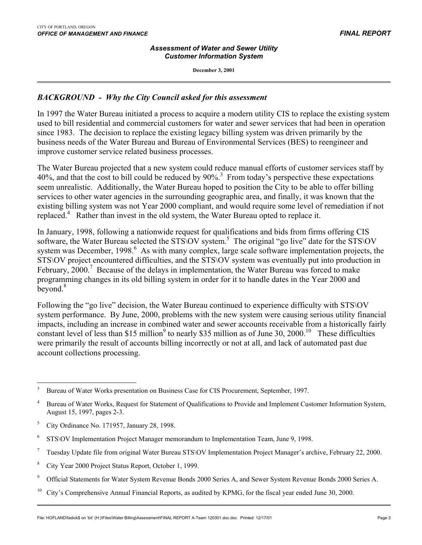#### *Assessment of Water and Sewer Utility Customer Information System*

**December 3, 2001**

### *BACKGROUND - Why the City Council asked for this assessment*

In 1997 the Water Bureau initiated a process to acquire a modern utility CIS to replace the existing system used to bill residential and commercial customers for water and sewer services that had been in operation since 1983. The decision to replace the existing legacy billing system was driven primarily by the business needs of the Water Bureau and Bureau of Environmental Services (BES) to reengineer and improve customer service related business processes.

The Water Bureau projected that a new system could reduce manual efforts of customer services staff by 40%, and that the cost to bill could be reduced by 90%.<sup>[3](#page-4-0)</sup> From today's perspective these expectations seem unrealistic. Additionally, the Water Bureau hoped to position the City to be able to offer billing services to other water agencies in the surrounding geographic area, and finally, it was known that the existing billing system was not Year 2000 compliant, and would require some level of remediation if not replaced.<sup>[4](#page-4-1)</sup> Rather than invest in the old system, the Water Bureau opted to replace it.

In January, 1998, following a nationwide request for qualifications and bids from firms offering CIS software, the Water Bureau selected the STS\OV system.<sup>[5](#page-4-2)</sup> The original "go live" date for the STS\OV system was December, 1998.<sup>[6](#page-4-3)</sup> As with many complex, large scale software implementation projects, the STS\OV project encountered difficulties, and the STS\OV system was eventually put into production in February,  $2000$ .<sup>7</sup> Because of the delays in implementation, the Water Bureau was forced to make programming changes in its old billing system in order for it to handle dates in the Year 2000 and beyond.<sup>[8](#page-4-5)</sup>

Following the "go live" decision, the Water Bureau continued to experience difficulty with STS\OV system performance. By June, 2000, problems with the new system were causing serious utility financial impacts, including an increase in combined water and sewer accounts receivable from a historically fairly constant level of less than \$15 million<sup>[9](#page-4-6)</sup> to nearly \$35 million as of June 30, 2000.<sup>10</sup> These difficulties were primarily the result of accounts billing incorrectly or not at all, and lack of automated past due account collections processing.

- <span id="page-4-5"></span><sup>8</sup> City Year 2000 Project Status Report, October 1, 1999.
- <span id="page-4-6"></span>9 Official Statements for Water System Revenue Bonds 2000 Series A, and Sewer System Revenue Bonds 2000 Series A.
- <span id="page-4-7"></span><sup>10</sup> City's Comprehensive Annual Financial Reports, as audited by KPMG, for the fiscal year ended June 30, 2000.

<span id="page-4-0"></span> 3 Bureau of Water Works presentation on Business Case for CIS Procurement, September, 1997.

<span id="page-4-1"></span><sup>4</sup> Bureau of Water Works, Request for Statement of Qualifications to Provide and Implement Customer Information System, August 15, 1997, pages 2-3.

<span id="page-4-2"></span><sup>5</sup> City Ordinance No. 171957, January 28, 1998.

<span id="page-4-3"></span><sup>6</sup> STS\OV Implementation Project Manager memorandum to Implementation Team, June 9, 1998.

<span id="page-4-4"></span><sup>7</sup> Tuesday Update file from original Water Bureau STS\OV Implementation Project Manager's archive, February 22, 2000.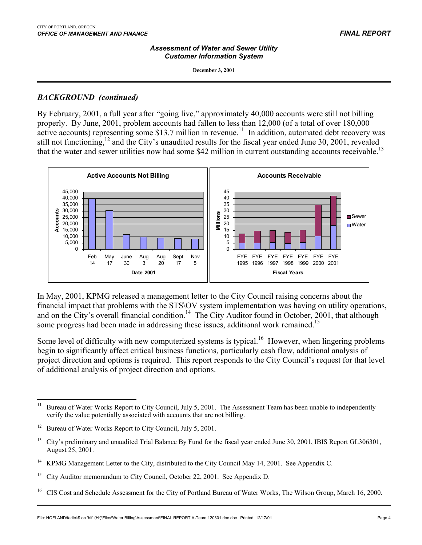**December 3, 2001**

### *BACKGROUND (continued)*

 $\overline{a}$ 

By February, 2001, a full year after "going live," approximately 40,000 accounts were still not billing properly. By June, 2001, problem accounts had fallen to less than 12,000 (of a total of over 180,000 active accounts) representing some \$13.7 million in revenue.<sup>11</sup> In addition, automated debt recovery was still not functioning,<sup>12</sup> and the City's unaudited results for the fiscal year ended June 30, 2001, revealed that the water and sewer utilities now had some \$42 million in current outstanding accounts receivable.<sup>13</sup>



In May, 2001, KPMG released a management letter to the City Council raising concerns about the financial impact that problems with the STS\OV system implementation was having on utility operations, and on the City's overall financial condition.<sup>14</sup> The City Auditor found in October, 2001, that although some progress had been made in addressing these issues, additional work remained.<sup>15</sup>

Some level of difficulty with new computerized systems is typical.<sup>16</sup> However, when lingering problems begin to significantly affect critical business functions, particularly cash flow, additional analysis of project direction and options is required. This report responds to the City Council's request for that level of additional analysis of project direction and options.

<span id="page-5-0"></span> $11$ Bureau of Water Works Report to City Council, July 5, 2001. The Assessment Team has been unable to independently verify the value potentially associated with accounts that are not billing.

<span id="page-5-1"></span><sup>&</sup>lt;sup>12</sup> Bureau of Water Works Report to City Council, July 5, 2001.

<span id="page-5-2"></span><sup>&</sup>lt;sup>13</sup> City's preliminary and unaudited Trial Balance By Fund for the fiscal year ended June 30, 2001, IBIS Report GL306301, August 25, 2001.

<span id="page-5-3"></span><sup>14</sup> KPMG Management Letter to the City, distributed to the City Council May 14, 2001. See Appendix C.

<span id="page-5-4"></span><sup>&</sup>lt;sup>15</sup> City Auditor memorandum to City Council, October 22, 2001. See Appendix D.

<span id="page-5-5"></span><sup>&</sup>lt;sup>16</sup> CIS Cost and Schedule Assessment for the City of Portland Bureau of Water Works, The Wilson Group, March 16, 2000.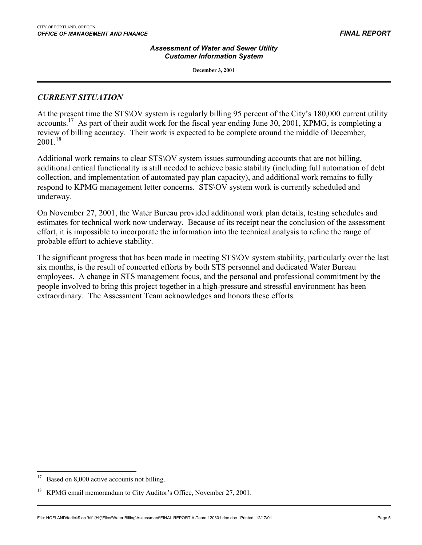**December 3, 2001**

### *CURRENT SITUATION*

 $\overline{a}$ 

At the present time the STS\OV system is regularly billing 95 percent of the City's 180,000 current utility accounts.<sup>[17](#page-6-0)</sup> As part of their audit work for the fiscal year ending June 30, 2001, KPMG, is completing a review of billing accuracy. Their work is expected to be complete around the middle of December,  $2001^{18}$ 

Additional work remains to clear STS\OV system issues surrounding accounts that are not billing, additional critical functionality is still needed to achieve basic stability (including full automation of debt collection, and implementation of automated pay plan capacity), and additional work remains to fully respond to KPMG management letter concerns. STS\OV system work is currently scheduled and underway.

On November 27, 2001, the Water Bureau provided additional work plan details, testing schedules and estimates for technical work now underway. Because of its receipt near the conclusion of the assessment effort, it is impossible to incorporate the information into the technical analysis to refine the range of probable effort to achieve stability.

The significant progress that has been made in meeting STS\OV system stability, particularly over the last six months, is the result of concerted efforts by both STS personnel and dedicated Water Bureau employees. A change in STS management focus, and the personal and professional commitment by the people involved to bring this project together in a high-pressure and stressful environment has been extraordinary. The Assessment Team acknowledges and honors these efforts.

<span id="page-6-0"></span><sup>&</sup>lt;sup>17</sup> Based on 8,000 active accounts not billing.

<span id="page-6-1"></span><sup>&</sup>lt;sup>18</sup> KPMG email memorandum to City Auditor's Office, November 27, 2001.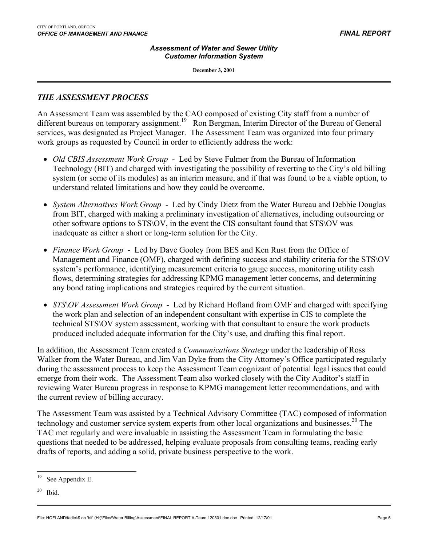**December 3, 2001**

### *THE ASSESSMENT PROCESS*

 $\overline{a}$ 

An Assessment Team was assembled by the CAO composed of existing City staff from a number of different bureaus on temporary assignment.<sup>19</sup> Ron Bergman, Interim Director of the Bureau of General services, was designated as Project Manager. The Assessment Team was organized into four primary work groups as requested by Council in order to efficiently address the work:

- *Old CBIS Assessment Work Group* Led by Steve Fulmer from the Bureau of Information Technology (BIT) and charged with investigating the possibility of reverting to the City's old billing system (or some of its modules) as an interim measure, and if that was found to be a viable option, to understand related limitations and how they could be overcome.
- *System Alternatives Work Group* Led by Cindy Dietz from the Water Bureau and Debbie Douglas from BIT, charged with making a preliminary investigation of alternatives, including outsourcing or other software options to STS\OV, in the event the CIS consultant found that STS\OV was inadequate as either a short or long-term solution for the City.
- *Finance Work Group* Led by Dave Gooley from BES and Ken Rust from the Office of Management and Finance (OMF), charged with defining success and stability criteria for the STS\OV system's performance, identifying measurement criteria to gauge success, monitoring utility cash flows, determining strategies for addressing KPMG management letter concerns, and determining any bond rating implications and strategies required by the current situation.
- *STS\OV Assessment Work Group* Led by Richard Hofland from OMF and charged with specifying the work plan and selection of an independent consultant with expertise in CIS to complete the technical STS\OV system assessment, working with that consultant to ensure the work products produced included adequate information for the City's use, and drafting this final report.

In addition, the Assessment Team created a *Communications Strategy* under the leadership of Ross Walker from the Water Bureau, and Jim Van Dyke from the City Attorney's Office participated regularly during the assessment process to keep the Assessment Team cognizant of potential legal issues that could emerge from their work. The Assessment Team also worked closely with the City Auditor's staff in reviewing Water Bureau progress in response to KPMG management letter recommendations, and with the current review of billing accuracy.

The Assessment Team was assisted by a Technical Advisory Committee (TAC) composed of information technology and customer service system experts from other local organizations and businesses.<sup>20</sup> The TAC met regularly and were invaluable in assisting the Assessment Team in formulating the basic questions that needed to be addressed, helping evaluate proposals from consulting teams, reading early drafts of reports, and adding a solid, private business perspective to the work.

File: HOFLAND\fadick\$ on 'bit' (H:)\Files\Water Billing\Assessment\FINAL REPORT A-Team 120301.doc.doc Printed: 12/17/01

<span id="page-7-0"></span> $\overline{a}$ See Appendix E.

<span id="page-7-1"></span> $20$  Ibid.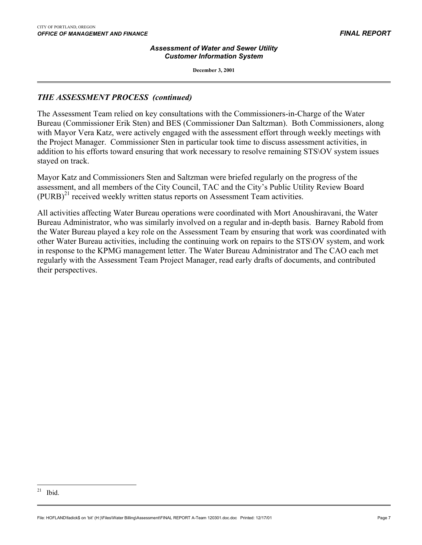#### *Assessment of Water and Sewer Utility Customer Information System*

**December 3, 2001**

### *THE ASSESSMENT PROCESS (continued)*

The Assessment Team relied on key consultations with the Commissioners-in-Charge of the Water Bureau (Commissioner Erik Sten) and BES (Commissioner Dan Saltzman). Both Commissioners, along with Mayor Vera Katz, were actively engaged with the assessment effort through weekly meetings with the Project Manager. Commissioner Sten in particular took time to discuss assessment activities, in addition to his efforts toward ensuring that work necessary to resolve remaining STS\OV system issues stayed on track.

Mayor Katz and Commissioners Sten and Saltzman were briefed regularly on the progress of the assessment, and all members of the City Council, TAC and the City's Public Utility Review Board  $(PURB)^{21}$  received weekly written status reports on Assessment Team activities.

All activities affecting Water Bureau operations were coordinated with Mort Anoushiravani, the Water Bureau Administrator, who was similarly involved on a regular and in-depth basis. Barney Rabold from the Water Bureau played a key role on the Assessment Team by ensuring that work was coordinated with other Water Bureau activities, including the continuing work on repairs to the STS\OV system, and work in response to the KPMG management letter. The Water Bureau Administrator and The CAO each met regularly with the Assessment Team Project Manager, read early drafts of documents, and contributed their perspectives.

<span id="page-8-0"></span><sup>&</sup>lt;u>.</u>  $21$  Ibid.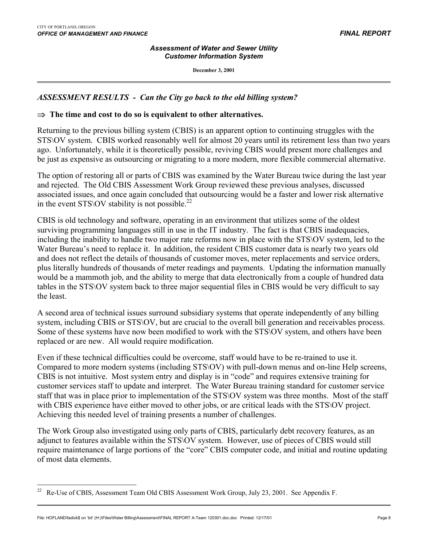$\overline{a}$ 

#### *Assessment of Water and Sewer Utility Customer Information System*

**December 3, 2001**

### *ASSESSMENT RESULTS - Can the City go back to the old billing system?*

#### ⇒ **The time and cost to do so is equivalent to other alternatives.**

Returning to the previous billing system (CBIS) is an apparent option to continuing struggles with the STS\OV system. CBIS worked reasonably well for almost 20 years until its retirement less than two years ago. Unfortunately, while it is theoretically possible, reviving CBIS would present more challenges and be just as expensive as outsourcing or migrating to a more modern, more flexible commercial alternative.

The option of restoring all or parts of CBIS was examined by the Water Bureau twice during the last year and rejected. The Old CBIS Assessment Work Group reviewed these previous analyses, discussed associated issues, and once again concluded that outsourcing would be a faster and lower risk alternative in the event STS\OV stability is not possible.<sup>[22](#page-9-0)</sup>

CBIS is old technology and software, operating in an environment that utilizes some of the oldest surviving programming languages still in use in the IT industry. The fact is that CBIS inadequacies, including the inability to handle two major rate reforms now in place with the STS\OV system, led to the Water Bureau's need to replace it. In addition, the resident CBIS customer data is nearly two years old and does not reflect the details of thousands of customer moves, meter replacements and service orders, plus literally hundreds of thousands of meter readings and payments. Updating the information manually would be a mammoth job, and the ability to merge that data electronically from a couple of hundred data tables in the STS\OV system back to three major sequential files in CBIS would be very difficult to say the least.

A second area of technical issues surround subsidiary systems that operate independently of any billing system, including CBIS or STS\OV, but are crucial to the overall bill generation and receivables process. Some of these systems have now been modified to work with the STS\OV system, and others have been replaced or are new. All would require modification.

Even if these technical difficulties could be overcome, staff would have to be re-trained to use it. Compared to more modern systems (including STS\OV) with pull-down menus and on-line Help screens, CBIS is not intuitive. Most system entry and display is in "code" and requires extensive training for customer services staff to update and interpret. The Water Bureau training standard for customer service staff that was in place prior to implementation of the STS\OV system was three months. Most of the staff with CBIS experience have either moved to other jobs, or are critical leads with the STS\OV project. Achieving this needed level of training presents a number of challenges.

The Work Group also investigated using only parts of CBIS, particularly debt recovery features, as an adjunct to features available within the STS\OV system. However, use of pieces of CBIS would still require maintenance of large portions of the "core" CBIS computer code, and initial and routine updating of most data elements.

<span id="page-9-0"></span><sup>22</sup> Re-Use of CBIS, Assessment Team Old CBIS Assessment Work Group, July 23, 2001. See Appendix F.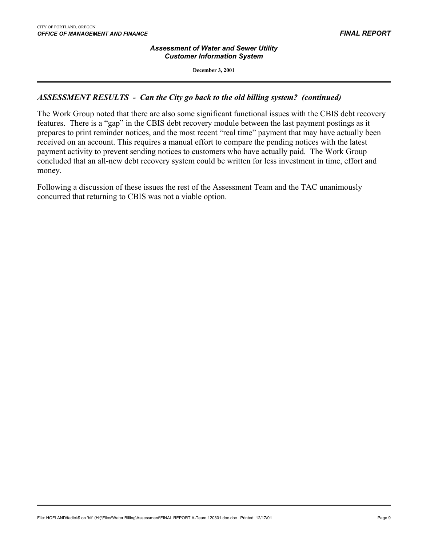#### *Assessment of Water and Sewer Utility Customer Information System*

**December 3, 2001**

### *ASSESSMENT RESULTS - Can the City go back to the old billing system? (continued)*

The Work Group noted that there are also some significant functional issues with the CBIS debt recovery features. There is a "gap" in the CBIS debt recovery module between the last payment postings as it prepares to print reminder notices, and the most recent "real time" payment that may have actually been received on an account. This requires a manual effort to compare the pending notices with the latest payment activity to prevent sending notices to customers who have actually paid. The Work Group concluded that an all-new debt recovery system could be written for less investment in time, effort and money.

Following a discussion of these issues the rest of the Assessment Team and the TAC unanimously concurred that returning to CBIS was not a viable option.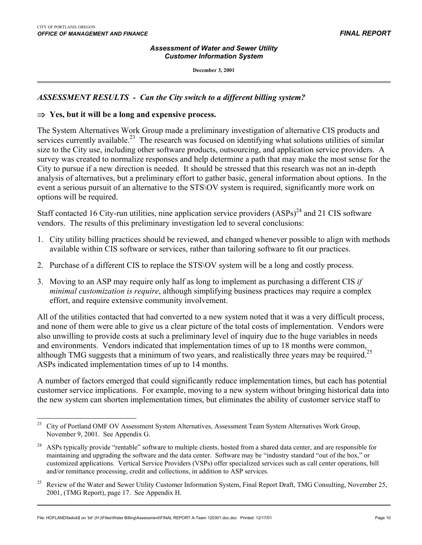#### *Assessment of Water and Sewer Utility Customer Information System*

**December 3, 2001**

## *ASSESSMENT RESULTS - Can the City switch to a different billing system?*

### ⇒ **Yes, but it will be a long and expensive process.**

The System Alternatives Work Group made a preliminary investigation of alternative CIS products and services currently available.<sup>23</sup> The research was focused on identifying what solutions utilities of similar size to the City use, including other software products, outsourcing, and application service providers. A survey was created to normalize responses and help determine a path that may make the most sense for the City to pursue if a new direction is needed. It should be stressed that this research was not an in-depth analysis of alternatives, but a preliminary effort to gather basic, general information about options. In the event a serious pursuit of an alternative to the STS\OV system is required, significantly more work on options will be required.

Staff contacted 16 City-run utilities, nine application service providers  $(ASPs)^{24}$  and 21 CIS software vendors. The results of this preliminary investigation led to several conclusions:

- 1. City utility billing practices should be reviewed, and changed whenever possible to align with methods available within CIS software or services, rather than tailoring software to fit our practices.
- 2. Purchase of a different CIS to replace the STS\OV system will be a long and costly process.
- 3. Moving to an ASP may require only half as long to implement as purchasing a different CIS *if minimal customization is require*, although simplifying business practices may require a complex effort, and require extensive community involvement.

All of the utilities contacted that had converted to a new system noted that it was a very difficult process, and none of them were able to give us a clear picture of the total costs of implementation. Vendors were also unwilling to provide costs at such a preliminary level of inquiry due to the huge variables in needs and environments. Vendors indicated that implementation times of up to 18 months were common, although TMG suggests that a minimum of two years, and realistically three years may be required.<sup>25</sup> ASPs indicated implementation times of up to 14 months.

A number of factors emerged that could significantly reduce implementation times, but each has potential customer service implications. For example, moving to a new system without bringing historical data into the new system can shorten implementation times, but eliminates the ability of customer service staff to

<span id="page-11-0"></span><sup>23</sup> 23 City of Portland OMF OV Assessment System Alternatives, Assessment Team System Alternatives Work Group, November 9, 2001. See Appendix G.

<span id="page-11-1"></span><sup>&</sup>lt;sup>24</sup> ASPs typically provide "rentable" software to multiple clients, hosted from a shared data center, and are responsible for maintaining and upgrading the software and the data center. Software may be "industry standard "out of the box," or customized applications. Vertical Service Providers (VSPs) offer specialized services such as call center operations, bill and/or remittance processing, credit and collections, in addition to ASP services.

<span id="page-11-2"></span><sup>&</sup>lt;sup>25</sup> Review of the Water and Sewer Utility Customer Information System, Final Report Draft, TMG Consulting, November 25, 2001, (TMG Report), page 17. See Appendix H.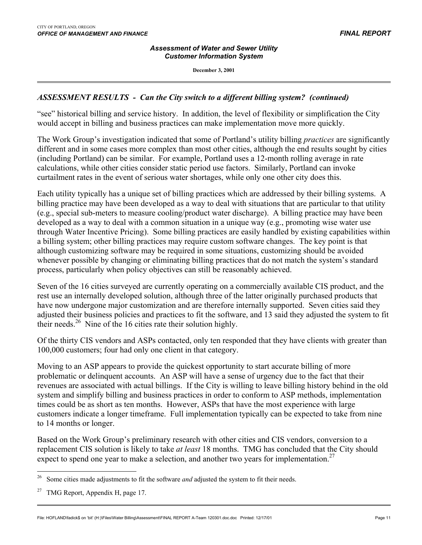#### *Assessment of Water and Sewer Utility Customer Information System*

**December 3, 2001**

### *ASSESSMENT RESULTS - Can the City switch to a different billing system?**(continued)*

"see" historical billing and service history. In addition, the level of flexibility or simplification the City would accept in billing and business practices can make implementation move more quickly.

The Work Group's investigation indicated that some of Portland's utility billing *practices* are significantly different and in some cases more complex than most other cities, although the end results sought by cities (including Portland) can be similar. For example, Portland uses a 12-month rolling average in rate calculations, while other cities consider static period use factors. Similarly, Portland can invoke curtailment rates in the event of serious water shortages, while only one other city does this.

Each utility typically has a unique set of billing practices which are addressed by their billing systems. A billing practice may have been developed as a way to deal with situations that are particular to that utility (e.g., special sub-meters to measure cooling/product water discharge). A billing practice may have been developed as a way to deal with a common situation in a unique way (e.g., promoting wise water use through Water Incentive Pricing). Some billing practices are easily handled by existing capabilities within a billing system; other billing practices may require custom software changes. The key point is that although customizing software may be required in some situations, customizing should be avoided whenever possible by changing or eliminating billing practices that do not match the system's standard process, particularly when policy objectives can still be reasonably achieved.

Seven of the 16 cities surveyed are currently operating on a commercially available CIS product, and the rest use an internally developed solution, although three of the latter originally purchased products that have now undergone major customization and are therefore internally supported. Seven cities said they adjusted their business policies and practices to fit the software, and 13 said they adjusted the system to fit their needs.<sup>26</sup> Nine of the 16 cities rate their solution highly.

Of the thirty CIS vendors and ASPs contacted, only ten responded that they have clients with greater than 100,000 customers; four had only one client in that category.

Moving to an ASP appears to provide the quickest opportunity to start accurate billing of more problematic or delinquent accounts. An ASP will have a sense of urgency due to the fact that their revenues are associated with actual billings. If the City is willing to leave billing history behind in the old system and simplify billing and business practices in order to conform to ASP methods, implementation times could be as short as ten months. However, ASPs that have the most experience with large customers indicate a longer timeframe. Full implementation typically can be expected to take from nine to 14 months or longer.

Based on the Work Group's preliminary research with other cities and CIS vendors, conversion to a replacement CIS solution is likely to take *at least* 18 months. TMG has concluded that the City should expect to spend one year to make a selection, and another two years for implementation.<sup>27</sup>

<span id="page-12-0"></span><sup>26</sup> Some cities made adjustments to fit the software *and* adjusted the system to fit their needs.

<span id="page-12-1"></span><sup>&</sup>lt;sup>27</sup> TMG Report, Appendix H, page 17.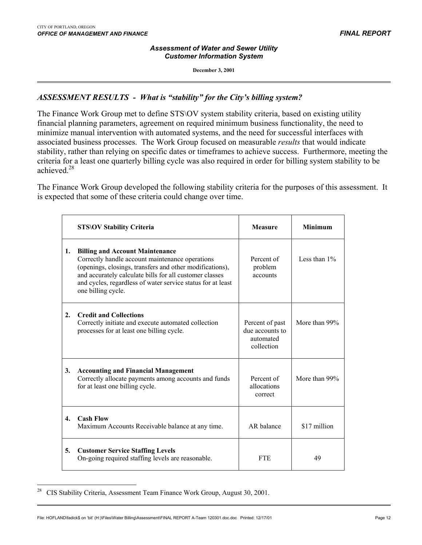$\overline{a}$ 

#### *Assessment of Water and Sewer Utility Customer Information System*

**December 3, 2001**

## *ASSESSMENT RESULTS - What is "stability" for the City's billing system?*

The Finance Work Group met to define STS\OV system stability criteria, based on existing utility financial planning parameters, agreement on required minimum business functionality, the need to minimize manual intervention with automated systems, and the need for successful interfaces with associated business processes. The Work Group focused on measurable *results* that would indicate stability, rather than relying on specific dates or timeframes to achieve success. Furthermore, meeting the criteria for a least one quarterly billing cycle was also required in order for billing system stability to be achieved<sup>28</sup>

The Finance Work Group developed the following stability criteria for the purposes of this assessment. It is expected that some of these criteria could change over time.

|                | <b>STS\OV Stability Criteria</b>                                                                                                                                                                                                                                                                      | Measure                                                       | <b>Minimum</b>  |
|----------------|-------------------------------------------------------------------------------------------------------------------------------------------------------------------------------------------------------------------------------------------------------------------------------------------------------|---------------------------------------------------------------|-----------------|
| 1.             | <b>Billing and Account Maintenance</b><br>Correctly handle account maintenance operations<br>(openings, closings, transfers and other modifications),<br>and accurately calculate bills for all customer classes<br>and cycles, regardless of water service status for at least<br>one billing cycle. | Percent of<br>problem<br>accounts                             | Less than $1\%$ |
| 2.             | <b>Credit and Collections</b><br>Correctly initiate and execute automated collection<br>processes for at least one billing cycle.                                                                                                                                                                     | Percent of past<br>due accounts to<br>automated<br>collection | More than 99%   |
| 3.             | <b>Accounting and Financial Management</b><br>Correctly allocate payments among accounts and funds<br>for at least one billing cycle.                                                                                                                                                                 | Percent of<br>allocations<br>correct                          | More than 99%   |
| $\mathbf{4}$ . | <b>Cash Flow</b><br>Maximum Accounts Receivable balance at any time.                                                                                                                                                                                                                                  | AR balance                                                    | \$17 million    |
| 5.             | <b>Customer Service Staffing Levels</b><br>On-going required staffing levels are reasonable.                                                                                                                                                                                                          | <b>FTE</b>                                                    | 49              |

<span id="page-13-0"></span><sup>&</sup>lt;sup>28</sup> CIS Stability Criteria, Assessment Team Finance Work Group, August 30, 2001.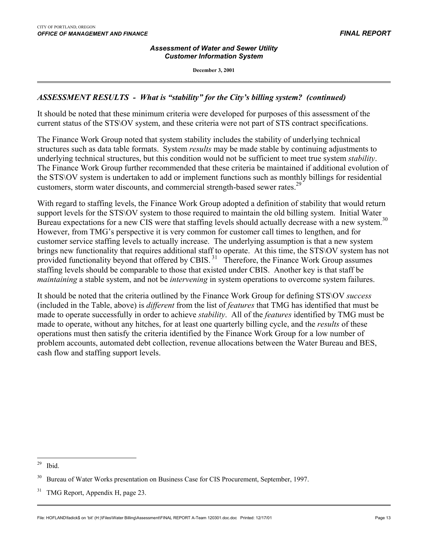#### *Assessment of Water and Sewer Utility Customer Information System*

**December 3, 2001**

### *ASSESSMENT RESULTS - What is "stability" for the City's billing system? (continued)*

It should be noted that these minimum criteria were developed for purposes of this assessment of the current status of the STS\OV system, and these criteria were not part of STS contract specifications.

The Finance Work Group noted that system stability includes the stability of underlying technical structures such as data table formats. System *results* may be made stable by continuing adjustments to underlying technical structures, but this condition would not be sufficient to meet true system *stability*. The Finance Work Group further recommended that these criteria be maintained if additional evolution of the STS\OV system is undertaken to add or implement functions such as monthly billings for residential customers, storm water discounts, and commercial strength-based sewer rates.<sup>29</sup>

With regard to staffing levels, the Finance Work Group adopted a definition of stability that would return support levels for the STS\OV system to those required to maintain the old billing system. Initial Water Bureau expectations for a new CIS were that staffing levels should actually decrease with a new system.<sup>[30](#page-14-1)</sup> However, from TMG's perspective it is very common for customer call times to lengthen, and for customer service staffing levels to actually increase. The underlying assumption is that a new system brings new functionality that requires additional staff to operate. At this time, the STS\OV system has not provided functionality beyond that offered by CBIS.<sup>31</sup> Therefore, the Finance Work Group assumes staffing levels should be comparable to those that existed under CBIS. Another key is that staff be *maintaining* a stable system, and not be *intervening* in system operations to overcome system failures.

It should be noted that the criteria outlined by the Finance Work Group for defining STS\OV *success* (included in the Table, above) is *different* from the list of *features* that TMG has identified that must be made to operate successfully in order to achieve *stability*. All of the *features* identified by TMG must be made to operate, without any hitches, for at least one quarterly billing cycle, and the *results* of these operations must then satisfy the criteria identified by the Finance Work Group for a low number of problem accounts, automated debt collection, revenue allocations between the Water Bureau and BES, cash flow and staffing support levels.

<span id="page-14-0"></span><sup>29</sup> Ibid.

<span id="page-14-1"></span><sup>&</sup>lt;sup>30</sup> Bureau of Water Works presentation on Business Case for CIS Procurement, September, 1997.

<span id="page-14-2"></span><sup>&</sup>lt;sup>31</sup> TMG Report, Appendix H, page 23.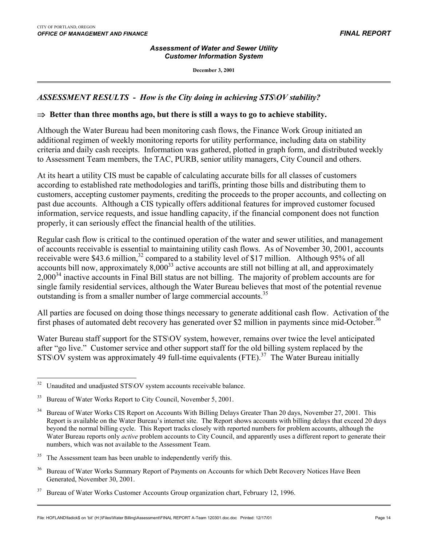#### *Assessment of Water and Sewer Utility Customer Information System*

**December 3, 2001**

### *ASSESSMENT RESULTS - How is the City doing in achieving STS\OV stability?*

#### ⇒ **Better than three months ago, but there is still a ways to go to achieve stability.**

Although the Water Bureau had been monitoring cash flows, the Finance Work Group initiated an additional regimen of weekly monitoring reports for utility performance, including data on stability criteria and daily cash receipts. Information was gathered, plotted in graph form, and distributed weekly to Assessment Team members, the TAC, PURB, senior utility managers, City Council and others.

At its heart a utility CIS must be capable of calculating accurate bills for all classes of customers according to established rate methodologies and tariffs, printing those bills and distributing them to customers, accepting customer payments, crediting the proceeds to the proper accounts, and collecting on past due accounts. Although a CIS typically offers additional features for improved customer focused information, service requests, and issue handling capacity, if the financial component does not function properly, it can seriously effect the financial health of the utilities.

Regular cash flow is critical to the continued operation of the water and sewer utilities, and management of accounts receivable is essential to maintaining utility cash flows. As of November 30, 2001, accounts receivable were \$43.6 million,<sup>32</sup> compared to a stability level of \$17 million. Although 95% of all accounts bill now, approximately  $8,000^{33}$  active accounts are still not billing at all, and approximately 2,000[34](#page-15-2) inactive accounts in Final Bill status are not billing. The majority of problem accounts are for single family residential services, although the Water Bureau believes that most of the potential revenue outstanding is from a smaller number of large commercial accounts.<sup>35</sup>

All parties are focused on doing those things necessary to generate additional cash flow. Activation of the first phases of automated debt recovery has generated over \$2 million in payments since mid-October.<sup>36</sup>

Water Bureau staff support for the STS\OV system, however, remains over twice the level anticipated after "go live." Customer service and other support staff for the old billing system replaced by the  $STS\overline{\rm OV}$  system was approximately 49 full-time equivalents (FTE).<sup>[37](#page-15-5)</sup> The Water Bureau initially

<span id="page-15-0"></span> $\overline{a}$ <sup>32</sup> Unaudited and unadjusted STS\OV system accounts receivable balance.

<span id="page-15-1"></span><sup>&</sup>lt;sup>33</sup> Bureau of Water Works Report to City Council, November 5, 2001.

<span id="page-15-2"></span><sup>&</sup>lt;sup>34</sup> Bureau of Water Works CIS Report on Accounts With Billing Delays Greater Than 20 days, November 27, 2001. This Report is available on the Water Bureau's internet site. The Report shows accounts with billing delays that exceed 20 days beyond the normal billing cycle. This Report tracks closely with reported numbers for problem accounts, although the Water Bureau reports only *active* problem accounts to City Council, and apparently uses a different report to generate their numbers, which was not available to the Assessment Team.

<span id="page-15-3"></span>The Assessment team has been unable to independently verify this.

<span id="page-15-4"></span><sup>&</sup>lt;sup>36</sup> Bureau of Water Works Summary Report of Payments on Accounts for which Debt Recovery Notices Have Been Generated, November 30, 2001.

<span id="page-15-5"></span><sup>&</sup>lt;sup>37</sup> Bureau of Water Works Customer Accounts Group organization chart, February 12, 1996.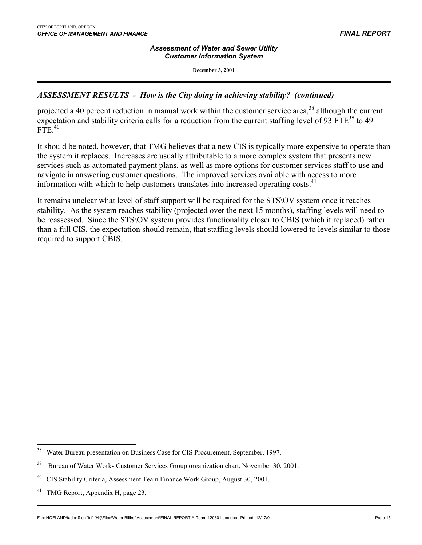#### *Assessment of Water and Sewer Utility Customer Information System*

**December 3, 2001**

### *ASSESSMENT RESULTS - How is the City doing in achieving stability? (continued)*

projected a 40 percent reduction in manual work within the customer service area,<sup>38</sup> although the current expectation and stability criteria calls for a reduction from the current staffing level of 93  $FTE<sup>39</sup>$  to 49 FTE.[40](#page-16-2)

It should be noted, however, that TMG believes that a new CIS is typically more expensive to operate than the system it replaces. Increases are usually attributable to a more complex system that presents new services such as automated payment plans, as well as more options for customer services staff to use and navigate in answering customer questions. The improved services available with access to more information with which to help customers translates into increased operating costs.<sup>[41](#page-16-3)</sup>

It remains unclear what level of staff support will be required for the STS\OV system once it reaches stability. As the system reaches stability (projected over the next 15 months), staffing levels will need to be reassessed. Since the STS\OV system provides functionality closer to CBIS (which it replaced) rather than a full CIS, the expectation should remain, that staffing levels should lowered to levels similar to those required to support CBIS.

<span id="page-16-0"></span><sup>38</sup> 38 Water Bureau presentation on Business Case for CIS Procurement, September, 1997.

<span id="page-16-1"></span><sup>&</sup>lt;sup>39</sup> Bureau of Water Works Customer Services Group organization chart, November 30, 2001.

<span id="page-16-2"></span><sup>&</sup>lt;sup>40</sup> CIS Stability Criteria, Assessment Team Finance Work Group, August 30, 2001.

<span id="page-16-3"></span><sup>&</sup>lt;sup>41</sup> TMG Report, Appendix H, page 23.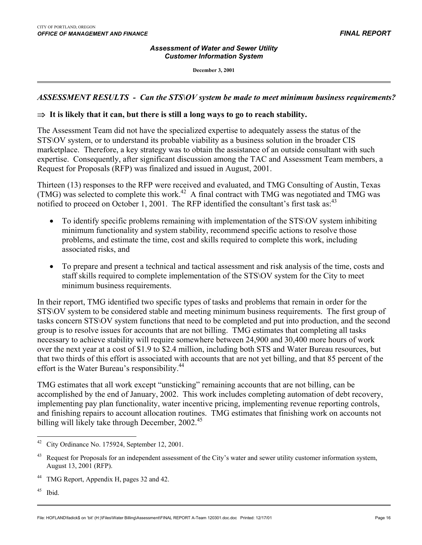#### *Assessment of Water and Sewer Utility Customer Information System*

**December 3, 2001**

### *ASSESSMENT RESULTS - Can the STS\OV system be made to meet minimum business requirements?*

### ⇒ **It is likely that it can, but there is still a long ways to go to reach stability.**

The Assessment Team did not have the specialized expertise to adequately assess the status of the STS\OV system, or to understand its probable viability as a business solution in the broader CIS marketplace. Therefore, a key strategy was to obtain the assistance of an outside consultant with such expertise. Consequently, after significant discussion among the TAC and Assessment Team members, a Request for Proposals (RFP) was finalized and issued in August, 2001.

Thirteen (13) responses to the RFP were received and evaluated, and TMG Consulting of Austin, Texas (TMG) was selected to complete this work.<sup>42</sup> A final contract with TMG was negotiated and TMG was notified to proceed on October 1, 2001. The RFP identified the consultant's first task as:  $43$ 

- To identify specific problems remaining with implementation of the STS\OV system inhibiting minimum functionality and system stability, recommend specific actions to resolve those problems, and estimate the time, cost and skills required to complete this work, including associated risks, and
- To prepare and present a technical and tactical assessment and risk analysis of the time, costs and staff skills required to complete implementation of the STS\OV system for the City to meet minimum business requirements.

In their report, TMG identified two specific types of tasks and problems that remain in order for the STS\OV system to be considered stable and meeting minimum business requirements. The first group of tasks concern STS\OV system functions that need to be completed and put into production, and the second group is to resolve issues for accounts that are not billing. TMG estimates that completing all tasks necessary to achieve stability will require somewhere between 24,900 and 30,400 more hours of work over the next year at a cost of \$1.9 to \$2.4 million, including both STS and Water Bureau resources, but that two thirds of this effort is associated with accounts that are not yet billing, and that 85 percent of the effort is the Water Bureau's responsibility.<sup>44</sup>

TMG estimates that all work except "unsticking" remaining accounts that are not billing, can be accomplished by the end of January, 2002. This work includes completing automation of debt recovery, implementing pay plan functionality, water incentive pricing, implementing revenue reporting controls, and finishing repairs to account allocation routines. TMG estimates that finishing work on accounts not billing will likely take through December,  $2002<sup>45</sup>$ 

<span id="page-17-0"></span><sup>42</sup> City Ordinance No. 175924, September 12, 2001.

<span id="page-17-1"></span><sup>&</sup>lt;sup>43</sup> Request for Proposals for an independent assessment of the City's water and sewer utility customer information system, August 13, 2001 (RFP).

<span id="page-17-2"></span><sup>&</sup>lt;sup>44</sup> TMG Report, Appendix H, pages 32 and 42.

<span id="page-17-3"></span> $45$  Ibid.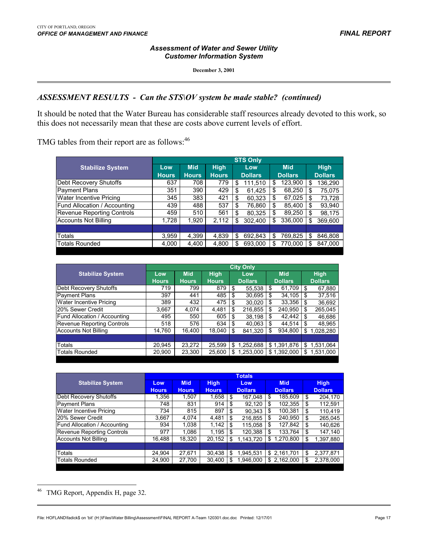#### *Assessment of Water and Sewer Utility Customer Information System*

**December 3, 2001**

## *ASSESSMENT RESULTS - Can the STS\OV system be made stable?**(continued)*

It should be noted that the Water Bureau has considerable staff resources already devoted to this work, so this does not necessarily mean that these are costs above current levels of effort.

TMG tables from their report are as follows:<sup>46</sup>

|                                   | <b>STS Only</b> |              |              |                |                |                |  |  |  |  |  |
|-----------------------------------|-----------------|--------------|--------------|----------------|----------------|----------------|--|--|--|--|--|
| <b>Stabilize System</b>           | Low             | <b>Mid</b>   | <b>High</b>  | Low            | <b>Mid</b>     | <b>High</b>    |  |  |  |  |  |
|                                   | <b>Hours</b>    | <b>Hours</b> | <b>Hours</b> | <b>Dollars</b> | <b>Dollars</b> | <b>Dollars</b> |  |  |  |  |  |
| Debt Recovery Shutoffs            | 637             | 708          | 779          | 111,510<br>S   | 123,900<br>\$  | 136,290<br>S   |  |  |  |  |  |
| <b>Payment Plans</b>              | 351             | 390          | 429          | 61.425<br>\$   | 68,250<br>\$   | 75,075<br>\$   |  |  |  |  |  |
| <b>Water Incentive Pricing</b>    | 345             | 383          | 421          | 60,323<br>\$   | 67,025<br>S    | 73,728<br>\$   |  |  |  |  |  |
| Fund Allocation / Accounting      | 439             | 488          | 537          | 76,860<br>\$   | 85,400<br>S    | 93,940<br>\$   |  |  |  |  |  |
| <b>Revenue Reporting Controls</b> | 459             | 510          | 561          | 80,325<br>\$   | 89,250<br>\$   | 98,175<br>\$   |  |  |  |  |  |
| Accounts Not Billing              | 1,728           | 1.920        | 2,112        | 302,400<br>S   | 336,000<br>S   | 369,600<br>S   |  |  |  |  |  |
|                                   |                 |              |              |                |                |                |  |  |  |  |  |
| Totals                            | 3,959           | 4,399        | 4,839        | 692,843<br>S   | 769,825<br>S   | 846,808<br>S.  |  |  |  |  |  |
| <b>Totals Rounded</b>             | 4,000           | 4,400        | 4,800        | 693.000<br>S   | 770,000<br>S   | 847.000<br>S   |  |  |  |  |  |

|                                     | <b>City Only</b> |              |              |                 |                |                 |  |  |  |  |  |
|-------------------------------------|------------------|--------------|--------------|-----------------|----------------|-----------------|--|--|--|--|--|
| <b>Stabilize System</b>             | Low              | <b>Mid</b>   | <b>High</b>  | Low             | <b>Mid</b>     | <b>High</b>     |  |  |  |  |  |
|                                     | <b>Hours</b>     | <b>Hours</b> | <b>Hours</b> | <b>Dollars</b>  | <b>Dollars</b> | <b>Dollars</b>  |  |  |  |  |  |
| Debt Recovery Shutoffs              | 719              | 799          | 879          | -\$<br>55,538   | \$<br>61,709   | 67,880<br>\$    |  |  |  |  |  |
| <b>Payment Plans</b>                | 397              | 441          | 485          | 30,695<br>S     | 34,105<br>\$   | 37,516<br>\$    |  |  |  |  |  |
| Water Incentive Pricing             | 389              | 432          | 475          | 30.020<br>S     | \$<br>33,356   | 36,692<br>\$    |  |  |  |  |  |
| 120% Sewer Credit                   | 3.667            | 4.074        | 4,481        | 216,855<br>\$   | \$<br>240.950  | \$<br>265,045   |  |  |  |  |  |
| <b>Fund Allocation / Accounting</b> | 495              | 550          | 605          | 38,198<br>\$    | \$<br>42,442   | \$<br>46,686    |  |  |  |  |  |
| Revenue Reporting Controls          | 518              | 576          | 634          | 40,063<br>\$.   | \$<br>44.514   | \$<br>48,965    |  |  |  |  |  |
| Accounts Not Billing                | 14.760           | 16.400       | 18.040       | \$<br>841,320   | \$<br>934.800  | \$<br>1,028,280 |  |  |  |  |  |
|                                     |                  |              |              |                 |                |                 |  |  |  |  |  |
| Totals                              | 20,945           | 23,272       | 25,599       | 1,252,688<br>\$ | \$1,391,876    | 1.531.064<br>\$ |  |  |  |  |  |
| <b>Totals Rounded</b>               | 20,900           | 23,300       | 25,600       | 1,253,000<br>S  | \$1,392,000    | \$<br>1.531.000 |  |  |  |  |  |

|                                   | <b>Totals</b> |              |              |    |                       |    |                |    |                |  |  |
|-----------------------------------|---------------|--------------|--------------|----|-----------------------|----|----------------|----|----------------|--|--|
| <b>Stabilize System</b>           | Low           | <b>Mid</b>   | <b>High</b>  |    | Low<br><b>Dollars</b> |    | <b>Mid</b>     |    | <b>High</b>    |  |  |
|                                   | <b>Hours</b>  | <b>Hours</b> | <b>Hours</b> |    |                       |    | <b>Dollars</b> |    | <b>Dollars</b> |  |  |
| Debt Recovery Shutoffs            | 1.356         | 1.507        | 1,658        | \$ | 167,048               | \$ | 185,609        | S  | 204,170        |  |  |
| Payment Plans                     | 748           | 831          | 914          | \$ | 92.120                | \$ | 102,355        | \$ | 112.591        |  |  |
| Water Incentive Pricing           | 734           | 815          | 897          | \$ | 90.343                | \$ | 100.381        | \$ | 110,419        |  |  |
| 20% Sewer Credit                  | 3.667         | 4.074        | 4,481        | \$ | 216,855               | \$ | 240,950        | \$ | 265,045        |  |  |
| Fund Allocation / Accounting      | 934           | 1.038        | 1,142        | \$ | 115.058               | \$ | 127,842        | \$ | 140,626        |  |  |
| <b>Revenue Reporting Controls</b> | 977           | 1.086        | 1,195        | \$ | 120,388               | \$ | 133,764        | \$ | 147,140        |  |  |
| <b>Accounts Not Billing</b>       | 16.488        | 18.320       | 20.152       | \$ | 1,143,720             | \$ | 1.270.800      | \$ | 1,397,880      |  |  |
|                                   |               |              |              |    |                       |    |                |    |                |  |  |
| Totals                            | 24.904        | 27,671       | 30,438       | \$ | 1,945,531             | \$ | 2,161,701      | \$ | 2,377,871      |  |  |
| <b>Totals Rounded</b>             | 24.900        | 27.700       | 30,400       | \$ | .946,000              | \$ | 2,162,000      | \$ | 2,378,000      |  |  |

<span id="page-18-0"></span><sup>&</sup>lt;sup>46</sup> TMG Report, Appendix H, page 32.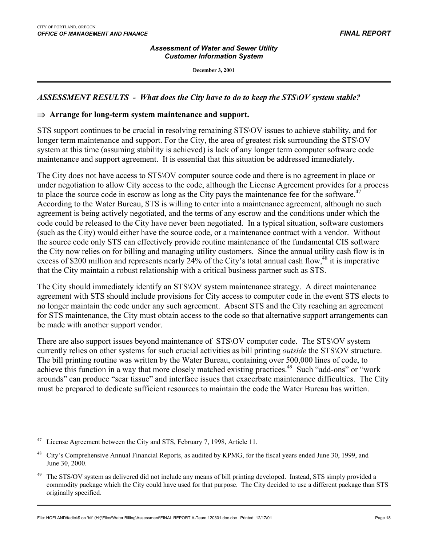$\overline{a}$ 

#### *Assessment of Water and Sewer Utility Customer Information System*

**December 3, 2001**

### *ASSESSMENT RESULTS - What does the City have to do to keep the STS\OV system stable?*

#### ⇒ **Arrange for long-term system maintenance and support.**

STS support continues to be crucial in resolving remaining STS\OV issues to achieve stability, and for longer term maintenance and support. For the City, the area of greatest risk surrounding the STS\OV system at this time (assuming stability is achieved) is lack of any longer term computer software code maintenance and support agreement. It is essential that this situation be addressed immediately.

The City does not have access to STS\OV computer source code and there is no agreement in place or under negotiation to allow City access to the code, although the License Agreement provides for a process to place the source code in escrow as long as the City pays the maintenance fee for the software.<sup>47</sup> According to the Water Bureau, STS is willing to enter into a maintenance agreement, although no such agreement is being actively negotiated, and the terms of any escrow and the conditions under which the code could be released to the City have never been negotiated. In a typical situation, software customers (such as the City) would either have the source code, or a maintenance contract with a vendor. Without the source code only STS can effectively provide routine maintenance of the fundamental CIS software the City now relies on for billing and managing utility customers. Since the annual utility cash flow is in excess of \$200 million and represents nearly 24% of the City's total annual cash flow,  $48$  it is imperative that the City maintain a robust relationship with a critical business partner such as STS.

The City should immediately identify an STS\OV system maintenance strategy. A direct maintenance agreement with STS should include provisions for City access to computer code in the event STS elects to no longer maintain the code under any such agreement. Absent STS and the City reaching an agreement for STS maintenance, the City must obtain access to the code so that alternative support arrangements can be made with another support vendor.

There are also support issues beyond maintenance of STS\OV computer code. The STS\OV system currently relies on other systems for such crucial activities as bill printing *outside* the STS\OV structure. The bill printing routine was written by the Water Bureau, containing over 500,000 lines of code, to achieve this function in a way that more closely matched existing practices.<sup>49</sup> Such "add-ons" or "work arounds" can produce "scar tissue" and interface issues that exacerbate maintenance difficulties. The City must be prepared to dedicate sufficient resources to maintain the code the Water Bureau has written.

File: HOFLAND\fadick\$ on 'bit' (H:)\Files\Water Billing\Assessment\FINAL REPORT A-Team 120301.doc.doc Printed: 12/17/01 Page 18

<span id="page-19-0"></span>License Agreement between the City and STS, February 7, 1998, Article 11.

<span id="page-19-1"></span><sup>48</sup> City's Comprehensive Annual Financial Reports, as audited by KPMG, for the fiscal years ended June 30, 1999, and June 30, 2000.

<span id="page-19-2"></span><sup>&</sup>lt;sup>49</sup> The STS/OV system as delivered did not include any means of bill printing developed. Instead, STS simply provided a commodity package which the City could have used for that purpose. The City decided to use a different package than STS originally specified.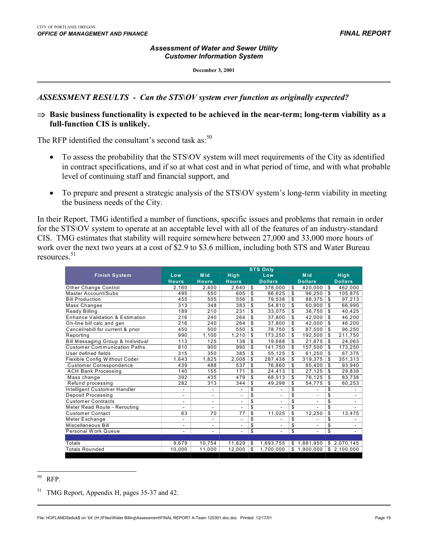#### *Assessment of Water and Sewer Utility Customer Information System*

**December 3, 2001**

### *ASSESSMENT RESULTS - Can the STS\OV system ever function as originally expected?*

⇒ **Basic business functionality is expected to be achieved in the near-term; long-term viability as a full-function CIS is unlikely.**

The RFP identified the consultant's second task as: $50$ 

- To assess the probability that the STS \ OV system will meet requirements of the City as identified in contract specifications, and if so at what cost and in what period of time, and with what probable level of continuing staff and financial support, and
- To prepare and present a strategic analysis of the STS\OV system's long-term viability in meeting the business needs of the City.

In their Report, TMG identified a number of functions, specific issues and problems that remain in order for the STS\OV system to operate at an acceptable level with all of the features of an industry-standard CIS. TMG estimates that stability will require somewhere between 27,000 and 33,000 more hours of work over the next two years at a cost of \$2.9 to \$3.6 million, including both STS and Water Bureau resources<sup>51</sup>

|                                   | <b>STS Only</b>          |              |                          |                         |                          |    |                |    |                          |
|-----------------------------------|--------------------------|--------------|--------------------------|-------------------------|--------------------------|----|----------------|----|--------------------------|
| <b>Finish System</b>              | Low                      | <b>Mid</b>   | High                     | Low                     |                          |    | <b>Mid</b>     |    | <b>High</b>              |
|                                   | <b>Hours</b>             | <b>Hours</b> | <b>Hours</b>             |                         | <b>Dollars</b>           |    | <b>Dollars</b> |    | <b>Dollars</b>           |
| Other Change Control              | 2.160                    | 2,400        | 2,640                    | \$                      | 378,000                  | \$ | 420.000        | \$ | 462,000                  |
| Master Account/Subs               | 495                      | 550          | 605                      | \$                      | 86,625                   | \$ | 96,250         | \$ | 105,875                  |
| <b>Bill Production</b>            | 455                      | 505          | 556                      | \$                      | 79,538                   | \$ | 88,375         | \$ | 97,213                   |
| Mass Changes                      | 313                      | 348          | 383                      | $\overline{\mathbb{S}}$ | 54,810                   | \$ | 60,900         | \$ | 66,990                   |
| Ready Billing                     | 189                      | 210          | 231                      | \$                      | 33,075                   | \$ | 36.750         | S  | 40,425                   |
| Enhance Validation & Estimation   | 216                      | 240          | 264                      | \$                      | 37,800                   | \$ | 42.000         | \$ | 46,200                   |
| On-line bill calc and gen         | 216                      | 240          | 264                      | \$                      | 37,800                   | \$ | 42.000         | \$ | 46,200                   |
| Cancel/rebill for current & prior | 450                      | 500          | 550                      | \$                      | 78,750                   | \$ | 87,500         | \$ | 96,250                   |
| Reporting                         | 990                      | 1,100        | 1,210                    | \$                      | 173,250                  | \$ | 192,500        | \$ | 211,750                  |
| Bill Messaging Group & Individual | 113                      | 125          | 138                      | \$                      | 19,688                   | \$ | 21.875         | \$ | 24,063                   |
| Customer Communication Paths.     | 810                      | 900          | 990                      | \$                      | 141,750                  | \$ | 157.500        | S  | 173,250                  |
| User defined fields               | 315                      | 350          | 385                      | \$                      | 55,125                   | \$ | 61,250         | \$ | 67,375                   |
| Flexible Config Without Coder     | 1.643                    | 1,825        | 2,008                    | \$                      | 287,438                  | \$ | 319.375        | S  | 351,313                  |
| <b>Customer Correspondence</b>    | 439                      | 488          | 537                      | \$                      | 76.860                   | \$ | 85.400         | \$ | 93.940                   |
| <b>ACH Bank Processing</b>        | 140                      | 155          | 171                      | \$                      | 24,413                   | \$ | 27,125         | \$ | 29,838                   |
| Mass change                       | 392                      | 435          | 479                      | \$                      | 68,513                   | \$ | 76,125         | \$ | 83,738                   |
| Refund processing                 | 282                      | 313          | 344                      | \$                      | 49,298                   | \$ | 54,775         | \$ | 60,253                   |
| Intelligent Customer Handler      | ٠                        |              |                          | \$                      |                          | \$ |                | \$ |                          |
| Deposit Processing                | $\overline{\phantom{0}}$ | ۰            | $\overline{\phantom{0}}$ | \$                      | $\overline{\phantom{a}}$ | \$ | ٠              | \$ | $\overline{\phantom{a}}$ |
| <b>Customer Contracts</b>         | ۰                        | ۰            | ä,                       | \$                      | ٠                        | \$ | L,             | \$ |                          |
| Meter Read Route - Rerouting      |                          |              | $\overline{a}$           | \$                      |                          | \$ |                | \$ |                          |
| Customer Contact                  | 63                       | 70           | 77                       | \$                      | 11,025                   | \$ | 12,250         | \$ | 13,475                   |
| Meter Exchange                    | $\overline{\phantom{0}}$ | ٠            | ä,                       | \$                      | $\overline{\phantom{a}}$ | \$ |                | \$ |                          |
| Miscellaneous Bill                | -                        | ۰            | ٠                        | \$                      | $\overline{a}$           | \$ |                | \$ | $\overline{\phantom{a}}$ |
| Personal Work Queue               | ٠                        | ٠            | $\overline{a}$           | \$                      | ÷,                       | \$ |                | \$ |                          |
|                                   |                          |              |                          |                         |                          |    |                |    |                          |
| Totals                            | 9,679                    | 10,754       | 11,829                   | \$                      | 1,693,755                |    | \$1,881,950    |    | \$2,070,145              |
| <b>Totals Rounded</b>             | 10.000                   | 11.000       | 12.000                   | \$                      | 1.700.000                | \$ | 1.900.000      |    | \$2.100.000              |
|                                   |                          |              |                          |                         |                          |    |                |    |                          |

<span id="page-20-0"></span><sup>50</sup> RFP.

<span id="page-20-1"></span><sup>&</sup>lt;sup>51</sup> TMG Report, Appendix H, pages 35-37 and 42.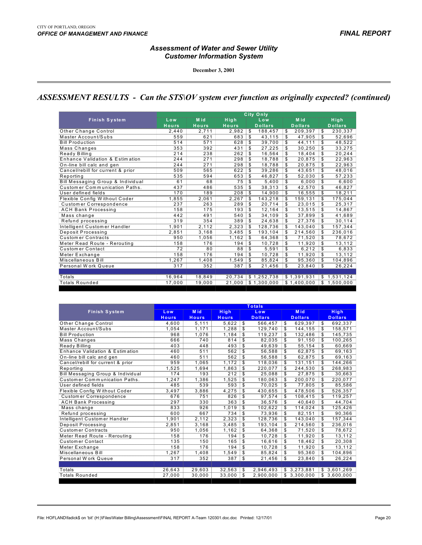#### *Assessment of Water and Sewer Utility Customer Information System*

**December 3, 2001**

## *ASSESSMENT RESULTS - Can the STS\OV system ever function as originally expected? (continued)*

|                                              | City Only       |              |              |                |                |                |  |  |
|----------------------------------------------|-----------------|--------------|--------------|----------------|----------------|----------------|--|--|
| <b>Finish System</b>                         | Low             | M id         | High         | Low            | M id           | High           |  |  |
|                                              | <b>Hours</b>    | <b>Hours</b> | <b>Hours</b> | <b>Dollars</b> | <b>Dollars</b> | <b>Dollars</b> |  |  |
| Other Change Control                         | 2,440           | 2,711        | 2,982        | S<br>188,457   | \$<br>209,397  | \$<br>230,337  |  |  |
| Master Account/Subs                          | 559             | 621          | 683          | \$<br>43,115   | \$<br>47.905   | \$<br>52,696   |  |  |
| <b>Bill Production</b>                       | 514             | 571          | 628          | \$<br>39,700   | \$<br>44.111   | \$<br>48,522   |  |  |
| Mass Changes                                 | 353             | 392          | 431          | \$<br>27,225   | \$<br>30,250   | \$<br>33,275   |  |  |
| Ready Billing                                | 214             | 238          | 262          | 16.564<br>\$   | \$<br>18.404   | \$<br>20,244   |  |  |
| Enhance Validation & Estimation              | 244             | 271          | 298          | \$<br>18,788   | \$<br>20.875   | \$<br>22,963   |  |  |
| On-line bill calc and gen                    | 244             | 271          | 298          | \$<br>18,788   | S<br>20.875    | \$<br>22,963   |  |  |
| Cancel/rebill for current & prior            | 509             | 565          | 622          | \$<br>39.286   | \$<br>43.651   | \$<br>48,016   |  |  |
| Reporting                                    | 535             | 594          | 653          | \$<br>46,827   | \$<br>52,030   | \$<br>57,233   |  |  |
| <b>Bill Messaging Group &amp; Individual</b> | 61              | 68           | 75           | \$<br>5,400    | \$<br>6.000    | \$<br>6,600    |  |  |
| Customer Communication Paths.                | 437             | 486          | 535          | 38,313<br>S    | \$<br>42,570   | s<br>46,827    |  |  |
| User defined fields                          | 170             | 189          | 208          | S<br>14,900    | \$<br>16,555   | \$<br>18,211   |  |  |
| Flexible Config Without Coder                | 1,855           | 2,061        | 2.267        | 143,218<br>S   | 159.131<br>\$  | \$<br>175,044  |  |  |
| Customer Correspondence                      | 237             | 263          | 289          | \$<br>20.714   | \$<br>23.015   | S<br>25,317    |  |  |
| <b>ACH Bank Processing</b>                   | 158             | 175          | 193          | \$<br>12,164   | \$<br>13,515   | \$<br>14,867   |  |  |
| Mass change                                  | 442             | 491          | 540          | \$<br>34,109   | \$<br>37.899   | \$<br>41,689   |  |  |
| Refund processing                            | 319             | 354          | 389          | \$<br>24.638   | 27.376<br>\$   | \$<br>30,114   |  |  |
| Intelligent Customer Handler                 | 1.901           | 2.112        | 2,323        | \$<br>128,736  | 143.040<br>\$  | \$<br>157,344  |  |  |
| Deposit Processing                           | 2.851           | 3.168        | 3.485        | S<br>193.104   | \$<br>214.560  | \$<br>236,016  |  |  |
| <b>Customer Contracts</b>                    | 950             | 1,056        | 1.162        | \$<br>64,368   | \$<br>71.520   | \$<br>78,672   |  |  |
| Meter Read Route - Rerouting                 | 158             | 176          | 194          | \$<br>10,728   | \$<br>11.920   | \$<br>13,112   |  |  |
| Customer Contact                             | $\overline{72}$ | 80           | 88           | S<br>5,591     | \$<br>6,212    | \$<br>6,833    |  |  |
| Meter Exchange                               | 158             | 176          | 194          | \$<br>10.728   | \$<br>11.920   | S<br>13,112    |  |  |
| Miscellaneous Bill                           | 1,267           | 1,408        | 1,549        | \$<br>85,824   | \$<br>95.360   | \$<br>104,896  |  |  |
| Personal Work Queue                          | 317             | 352          | 387          | \$<br>21,456   | \$<br>23,840   | \$<br>26,224   |  |  |
|                                              |                 |              |              |                |                |                |  |  |
| Totals                                       | 16,964          | 18,849       | 20,734       | \$1,252,738    | \$1,391,931    | \$1,531,124    |  |  |
| <b>Totals Rounded</b>                        | 17.000          | 19.000       | 21.000       | \$1.300.000    | \$1,400,000    | \$1,500,000    |  |  |
|                                              |                 |              |              |                |                |                |  |  |

|                                   | <b>Totals</b>                     |              |              |     |                |    |                |              |                |  |  |
|-----------------------------------|-----------------------------------|--------------|--------------|-----|----------------|----|----------------|--------------|----------------|--|--|
| <b>Finish System</b>              | <b>M</b> id<br><b>High</b><br>Low |              | Low          |     | <b>M</b> id    |    | <b>High</b>    |              |                |  |  |
|                                   | <b>Hours</b>                      | <b>Hours</b> | <b>Hours</b> |     | <b>Dollars</b> |    | <b>Dollars</b> |              | <b>Dollars</b> |  |  |
| Other Change Control              | 4,600                             | 5,111        | 5,622        | S   | 566,457        | S  | 629,397        | \$           | 692,337        |  |  |
| Master Account/Subs               | 1.054                             | 1,171        | 1.288        | \$. | 129,740        | S  | 144,155        | \$           | 158,571        |  |  |
| <b>Bill Production</b>            | 968                               | 1,076        | 1,184        | \$  | 119,237        | \$ | 132,486        | \$           | 145,735        |  |  |
| Mass Changes                      | 666                               | 740          | 814          | \$  | 82,035         | S. | 91,150         | \$           | 100,265        |  |  |
| Ready Billing                     | 403                               | 448          | 493          | \$  | 49,639         | \$ | 55,154         | \$           | 60,669         |  |  |
| Enhance Validation & Estimation   | 460                               | 511          | 562          | \$  | 56,588         | \$ | 62,875         | \$           | 69,163         |  |  |
| On-line bill calc and gen         | 460                               | 511          | 562          | \$  | 56.588         |    | 62.875         | \$           | 69,163         |  |  |
| Cancel/rebill for current & prior | 959                               | 1.065        | 1.172        | \$  | 118.036        | \$ | 131.151        | \$           | 144.266        |  |  |
| Reporting                         | 1,525                             | 1.694        | 1,863        | \$  | 220.077        | \$ | 244,530        | \$           | 268,983        |  |  |
| Bill Messaging Group & Individual | 174                               | 193          | 212          | \$  | 25.088         | \$ | 27.875         | \$           | 30.663         |  |  |
| Customer Communication Paths.     | 1,247                             | 1,386        | 1,525        | \$  | 180.063        | S  | 200.070        | \$           | 220,077        |  |  |
| User defined fields               | 485                               | 539          | 593          | \$  | 70,025         | \$ | 77,805         | \$           | 85,586         |  |  |
| Flexible Config Without Coder     | 3.497                             | 3,886        | 4,275        | \$  | 430,655        | S  | 478,506        | \$           | 526,357        |  |  |
| Customer Correspondence           | 676                               | 751          | 826          | \$  | 97,574         | \$ | 108,415        | \$           | 119,257        |  |  |
| <b>ACH Bank Processing</b>        | 297                               | 330          | 363          | \$  | 36,576         | \$ | 40.640         | \$           | 44,704         |  |  |
| Mass change                       | 833                               | 926          | 1,019        | \$  | 102.622        | \$ | 114.024        | \$           | 125.426        |  |  |
| Refund processing                 | 600                               | 667          | 734          | \$  | 73,936         | \$ | 82,151         | \$           | 90,366         |  |  |
| Intelligent Customer Handler      | 1,901                             | 2.112        | 2,323        | \$  | 128,736        | S. | 143,040        | \$           | 157,344        |  |  |
| Deposit Processing                | 2,851                             | 3,168        | 3,485        | \$  | 193,104        | \$ | 214,560        | \$           | 236,016        |  |  |
| <b>Customer Contracts</b>         | 950                               | 1,056        | 1,162        | \$  | 64,368         | \$ | 71,520         | \$           | 78,672         |  |  |
| Meter Read Route - Rerouting      | 158                               | 176          | 194          | \$  | 10.728         | \$ | 11,920         | \$           | 13,112         |  |  |
| Customer Contact                  | 135                               | 150          | 165          | \$  | 16,616         | \$ | 18,462         | \$           | 20,308         |  |  |
| Meter Exchange                    | 158                               | 176          | 194          | \$  | 10,728         |    | 11,920         | \$           | 13,112         |  |  |
| Miscellaneous Bill                | 1,267                             | 1,408        | 1,549        | S   | 85,824         |    | 95,360         | \$           | 104,896        |  |  |
| Personal Work Queue               | 317                               | 352          | 387          | \$  | 21,456         | \$ | 23,840         | \$           | 26,224         |  |  |
|                                   |                                   |              |              |     |                |    |                |              |                |  |  |
| Totals                            | 26.643                            | 29,603       | 32.563       | \$  | 2,946,493      |    | \$3,273,881    |              | \$3,601,269    |  |  |
| <b>Totals Rounded</b>             | 27.000                            | 30.000       | 33.000       | \$  | 2,900,000      |    | \$3,300,000    | $\mathbb{S}$ | 3,600,000      |  |  |
|                                   |                                   |              |              |     |                |    |                |              |                |  |  |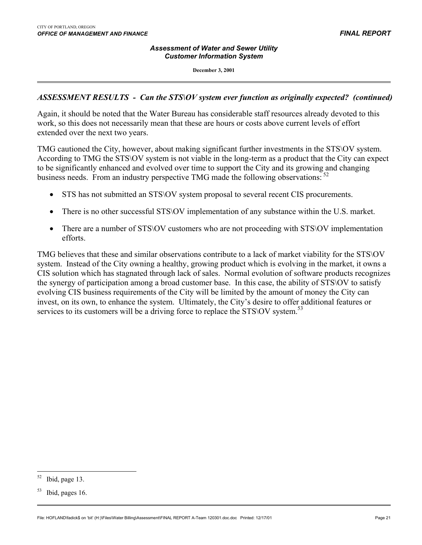#### *Assessment of Water and Sewer Utility Customer Information System*

**December 3, 2001**

### *ASSESSMENT RESULTS - Can the STS\OV system ever function as originally expected? (continued)*

Again, it should be noted that the Water Bureau has considerable staff resources already devoted to this work, so this does not necessarily mean that these are hours or costs above current levels of effort extended over the next two years.

TMG cautioned the City, however, about making significant further investments in the STS\OV system. According to TMG the STS\OV system is not viable in the long-term as a product that the City can expect to be significantly enhanced and evolved over time to support the City and its growing and changing business needs. From an industry perspective TMG made the following observations: <sup>52</sup>

- STS has not submitted an STS OV system proposal to several recent CIS procurements.
- There is no other successful STS\OV implementation of any substance within the U.S. market.
- There are a number of STS\OV customers who are not proceeding with STS\OV implementation efforts.

TMG believes that these and similar observations contribute to a lack of market viability for the STS\OV system. Instead of the City owning a healthy, growing product which is evolving in the market, it owns a CIS solution which has stagnated through lack of sales. Normal evolution of software products recognizes the synergy of participation among a broad customer base. In this case, the ability of STS\OV to satisfy evolving CIS business requirements of the City will be limited by the amount of money the City can invest, on its own, to enhance the system. Ultimately, the City's desire to offer additional features or services to its customers will be a driving force to replace the STS\OV system.<sup>[53](#page-22-1)</sup>

<span id="page-22-0"></span>Ibid, page 13.

<span id="page-22-1"></span><sup>53</sup> Ibid, pages 16.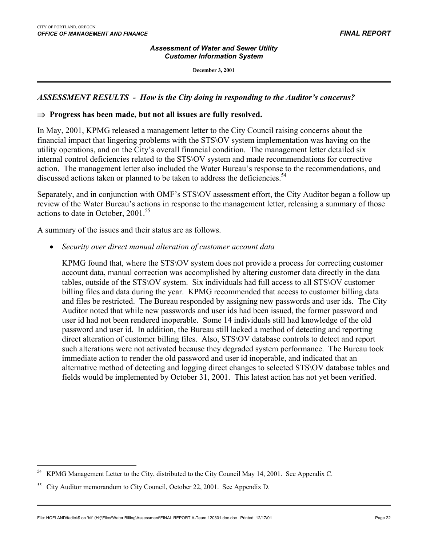$\overline{a}$ 

#### *Assessment of Water and Sewer Utility Customer Information System*

**December 3, 2001**

### *ASSESSMENT RESULTS - How is the City doing in responding to the Auditor's concerns?*

#### ⇒ **Progress has been made, but not all issues are fully resolved.**

In May, 2001, KPMG released a management letter to the City Council raising concerns about the financial impact that lingering problems with the STS\OV system implementation was having on the utility operations, and on the City's overall financial condition. The management letter detailed six internal control deficiencies related to the STS\OV system and made recommendations for corrective action. The management letter also included the Water Bureau's response to the recommendations, and discussed actions taken or planned to be taken to address the deficiencies.<sup>[54](#page-23-0)</sup>

Separately, and in conjunction with OMF's STS\OV assessment effort, the City Auditor began a follow up review of the Water Bureau's actions in response to the management letter, releasing a summary of those actions to date in October, 2001.<sup>55</sup>

A summary of the issues and their status are as follows.

• *Security over direct manual alteration of customer account data*

KPMG found that, where the STS\OV system does not provide a process for correcting customer account data, manual correction was accomplished by altering customer data directly in the data tables, outside of the STS\OV system. Six individuals had full access to all STS\OV customer billing files and data during the year. KPMG recommended that access to customer billing data and files be restricted. The Bureau responded by assigning new passwords and user ids. The City Auditor noted that while new passwords and user ids had been issued, the former password and user id had not been rendered inoperable. Some 14 individuals still had knowledge of the old password and user id. In addition, the Bureau still lacked a method of detecting and reporting direct alteration of customer billing files. Also, STS\OV database controls to detect and report such alterations were not activated because they degraded system performance. The Bureau took immediate action to render the old password and user id inoperable, and indicated that an alternative method of detecting and logging direct changes to selected STS\OV database tables and fields would be implemented by October 31, 2001. This latest action has not yet been verified.

<span id="page-23-0"></span><sup>54</sup> KPMG Management Letter to the City, distributed to the City Council May 14, 2001. See Appendix C.

<span id="page-23-1"></span><sup>55</sup> City Auditor memorandum to City Council, October 22, 2001. See Appendix D.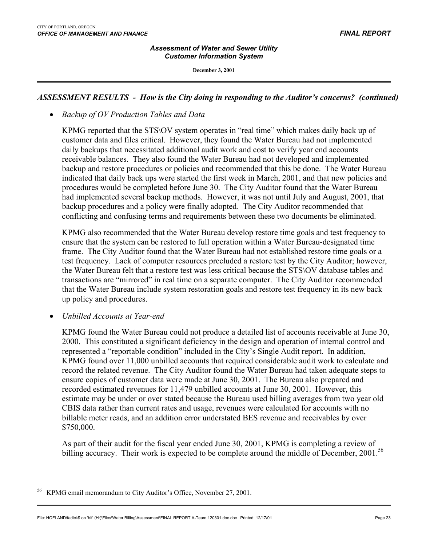$\overline{a}$ 

#### *Assessment of Water and Sewer Utility Customer Information System*

**December 3, 2001**

### *ASSESSMENT RESULTS - How is the City doing in responding to the Auditor's concerns? (continued)*

### • *Backup of OV Production Tables and Data*

KPMG reported that the STS\OV system operates in "real time" which makes daily back up of customer data and files critical. However, they found the Water Bureau had not implemented daily backups that necessitated additional audit work and cost to verify year end accounts receivable balances. They also found the Water Bureau had not developed and implemented backup and restore procedures or policies and recommended that this be done. The Water Bureau indicated that daily back ups were started the first week in March, 2001, and that new policies and procedures would be completed before June 30. The City Auditor found that the Water Bureau had implemented several backup methods. However, it was not until July and August, 2001, that backup procedures and a policy were finally adopted. The City Auditor recommended that conflicting and confusing terms and requirements between these two documents be eliminated.

KPMG also recommended that the Water Bureau develop restore time goals and test frequency to ensure that the system can be restored to full operation within a Water Bureau-designated time frame. The City Auditor found that the Water Bureau had not established restore time goals or a test frequency. Lack of computer resources precluded a restore test by the City Auditor; however, the Water Bureau felt that a restore test was less critical because the STS\OV database tables and transactions are "mirrored" in real time on a separate computer. The City Auditor recommended that the Water Bureau include system restoration goals and restore test frequency in its new back up policy and procedures.

• *Unbilled Accounts at Year-end*

KPMG found the Water Bureau could not produce a detailed list of accounts receivable at June 30, 2000. This constituted a significant deficiency in the design and operation of internal control and represented a "reportable condition" included in the City's Single Audit report. In addition, KPMG found over 11,000 unbilled accounts that required considerable audit work to calculate and record the related revenue. The City Auditor found the Water Bureau had taken adequate steps to ensure copies of customer data were made at June 30, 2001. The Bureau also prepared and recorded estimated revenues for 11,479 unbilled accounts at June 30, 2001. However, this estimate may be under or over stated because the Bureau used billing averages from two year old CBIS data rather than current rates and usage, revenues were calculated for accounts with no billable meter reads, and an addition error understated BES revenue and receivables by over \$750,000.

As part of their audit for the fiscal year ended June 30, 2001, KPMG is completing a review of billing accuracy. Their work is expected to be complete around the middle of December, 2001.<sup>[56](#page-24-0)</sup>

<span id="page-24-0"></span>KPMG email memorandum to City Auditor's Office, November 27, 2001.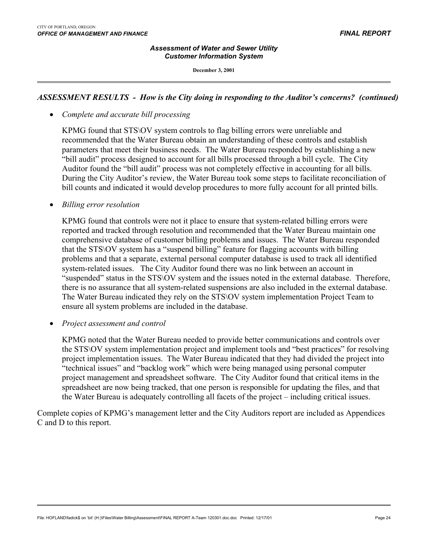#### *Assessment of Water and Sewer Utility Customer Information System*

**December 3, 2001**

### *ASSESSMENT RESULTS - How is the City doing in responding to the Auditor's concerns? (continued)*

• *Complete and accurate bill processing*

KPMG found that STS\OV system controls to flag billing errors were unreliable and recommended that the Water Bureau obtain an understanding of these controls and establish parameters that meet their business needs. The Water Bureau responded by establishing a new "bill audit" process designed to account for all bills processed through a bill cycle. The City Auditor found the "bill audit" process was not completely effective in accounting for all bills. During the City Auditor's review, the Water Bureau took some steps to facilitate reconciliation of bill counts and indicated it would develop procedures to more fully account for all printed bills.

• *Billing error resolution*

KPMG found that controls were not it place to ensure that system-related billing errors were reported and tracked through resolution and recommended that the Water Bureau maintain one comprehensive database of customer billing problems and issues. The Water Bureau responded that the STS\OV system has a "suspend billing" feature for flagging accounts with billing problems and that a separate, external personal computer database is used to track all identified system-related issues. The City Auditor found there was no link between an account in "suspended" status in the STS\OV system and the issues noted in the external database. Therefore, there is no assurance that all system-related suspensions are also included in the external database. The Water Bureau indicated they rely on the STS\OV system implementation Project Team to ensure all system problems are included in the database.

• *Project assessment and control*

KPMG noted that the Water Bureau needed to provide better communications and controls over the STS\OV system implementation project and implement tools and "best practices" for resolving project implementation issues. The Water Bureau indicated that they had divided the project into "technical issues" and "backlog work" which were being managed using personal computer project management and spreadsheet software. The City Auditor found that critical items in the spreadsheet are now being tracked, that one person is responsible for updating the files, and that the Water Bureau is adequately controlling all facets of the project – including critical issues.

Complete copies of KPMG's management letter and the City Auditors report are included as Appendices C and D to this report.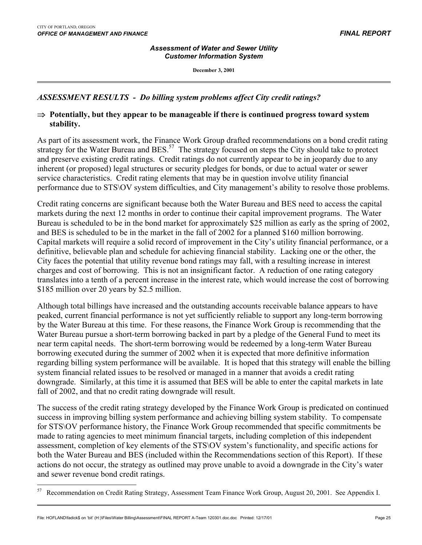$\overline{a}$ 

#### *Assessment of Water and Sewer Utility Customer Information System*

**December 3, 2001**

### *ASSESSMENT RESULTS - Do billing system problems affect City credit ratings?*

### ⇒ **Potentially, but they appear to be manageable if there is continued progress toward system stability.**

As part of its assessment work, the Finance Work Group drafted recommendations on a bond credit rating strategy for the Water Bureau and BES.<sup>57</sup> The strategy focused on steps the City should take to protect and preserve existing credit ratings. Credit ratings do not currently appear to be in jeopardy due to any inherent (or proposed) legal structures or security pledges for bonds, or due to actual water or sewer service characteristics. Credit rating elements that may be in question involve utility financial performance due to STS\OV system difficulties, and City management's ability to resolve those problems.

Credit rating concerns are significant because both the Water Bureau and BES need to access the capital markets during the next 12 months in order to continue their capital improvement programs. The Water Bureau is scheduled to be in the bond market for approximately \$25 million as early as the spring of 2002, and BES is scheduled to be in the market in the fall of 2002 for a planned \$160 million borrowing. Capital markets will require a solid record of improvement in the City's utility financial performance, or a definitive, believable plan and schedule for achieving financial stability. Lacking one or the other, the City faces the potential that utility revenue bond ratings may fall, with a resulting increase in interest charges and cost of borrowing. This is not an insignificant factor. A reduction of one rating category translates into a tenth of a percent increase in the interest rate, which would increase the cost of borrowing \$185 million over 20 years by \$2.5 million.

Although total billings have increased and the outstanding accounts receivable balance appears to have peaked, current financial performance is not yet sufficiently reliable to support any long-term borrowing by the Water Bureau at this time. For these reasons, the Finance Work Group is recommending that the Water Bureau pursue a short-term borrowing backed in part by a pledge of the General Fund to meet its near term capital needs. The short-term borrowing would be redeemed by a long-term Water Bureau borrowing executed during the summer of 2002 when it is expected that more definitive information regarding billing system performance will be available. It is hoped that this strategy will enable the billing system financial related issues to be resolved or managed in a manner that avoids a credit rating downgrade. Similarly, at this time it is assumed that BES will be able to enter the capital markets in late fall of 2002, and that no credit rating downgrade will result.

The success of the credit rating strategy developed by the Finance Work Group is predicated on continued success in improving billing system performance and achieving billing system stability. To compensate for STS\OV performance history, the Finance Work Group recommended that specific commitments be made to rating agencies to meet minimum financial targets, including completion of this independent assessment, completion of key elements of the STS\OV system's functionality, and specific actions for both the Water Bureau and BES (included within the Recommendations section of this Report). If these actions do not occur, the strategy as outlined may prove unable to avoid a downgrade in the City's water and sewer revenue bond credit ratings.

<span id="page-26-0"></span><sup>&</sup>lt;sup>57</sup> Recommendation on Credit Rating Strategy, Assessment Team Finance Work Group, August 20, 2001. See Appendix I.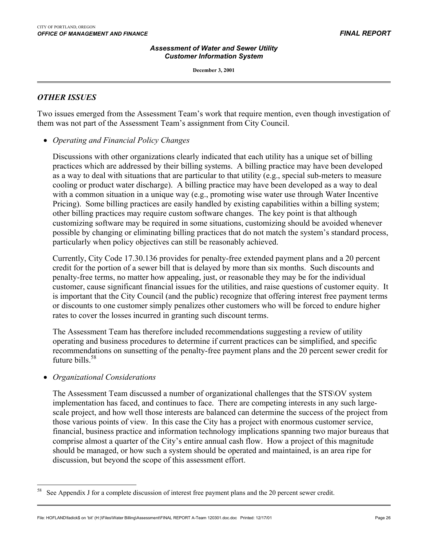**December 3, 2001**

### *OTHER ISSUES*

 $\overline{a}$ 

 $\overline{a}$ 

Two issues emerged from the Assessment Team's work that require mention, even though investigation of them was not part of the Assessment Team's assignment from City Council.

• *Operating and Financial Policy Changes*

Discussions with other organizations clearly indicated that each utility has a unique set of billing practices which are addressed by their billing systems. A billing practice may have been developed as a way to deal with situations that are particular to that utility (e.g., special sub-meters to measure cooling or product water discharge). A billing practice may have been developed as a way to deal with a common situation in a unique way (e.g., promoting wise water use through Water Incentive Pricing). Some billing practices are easily handled by existing capabilities within a billing system; other billing practices may require custom software changes. The key point is that although customizing software may be required in some situations, customizing should be avoided whenever possible by changing or eliminating billing practices that do not match the system's standard process, particularly when policy objectives can still be reasonably achieved.

Currently, City Code 17.30.136 provides for penalty-free extended payment plans and a 20 percent credit for the portion of a sewer bill that is delayed by more than six months. Such discounts and penalty-free terms, no matter how appealing, just, or reasonable they may be for the individual customer, cause significant financial issues for the utilities, and raise questions of customer equity. It is important that the City Council (and the public) recognize that offering interest free payment terms or discounts to one customer simply penalizes other customers who will be forced to endure higher rates to cover the losses incurred in granting such discount terms.

The Assessment Team has therefore included recommendations suggesting a review of utility operating and business procedures to determine if current practices can be simplified, and specific recommendations on sunsetting of the penalty-free payment plans and the 20 percent sewer credit for future bills  $58$ 

#### • *Organizational Considerations*

The Assessment Team discussed a number of organizational challenges that the STS\OV system implementation has faced, and continues to face. There are competing interests in any such largescale project, and how well those interests are balanced can determine the success of the project from those various points of view. In this case the City has a project with enormous customer service, financial, business practice and information technology implications spanning two major bureaus that comprise almost a quarter of the City's entire annual cash flow. How a project of this magnitude should be managed, or how such a system should be operated and maintained, is an area ripe for discussion, but beyond the scope of this assessment effort.

<span id="page-27-0"></span>See Appendix J for a complete discussion of interest free payment plans and the 20 percent sewer credit.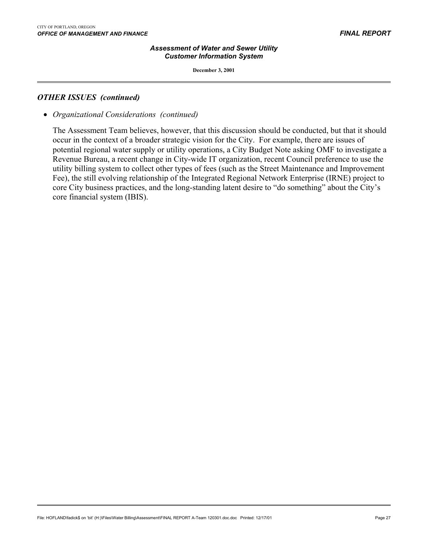**December 3, 2001**

#### *OTHER ISSUES (continued)*

 $\overline{a}$ 

• *Organizational Considerations (continued)*

The Assessment Team believes, however, that this discussion should be conducted, but that it should occur in the context of a broader strategic vision for the City. For example, there are issues of potential regional water supply or utility operations, a City Budget Note asking OMF to investigate a Revenue Bureau, a recent change in City-wide IT organization, recent Council preference to use the utility billing system to collect other types of fees (such as the Street Maintenance and Improvement Fee), the still evolving relationship of the Integrated Regional Network Enterprise (IRNE) project to core City business practices, and the long-standing latent desire to "do something" about the City's core financial system (IBIS).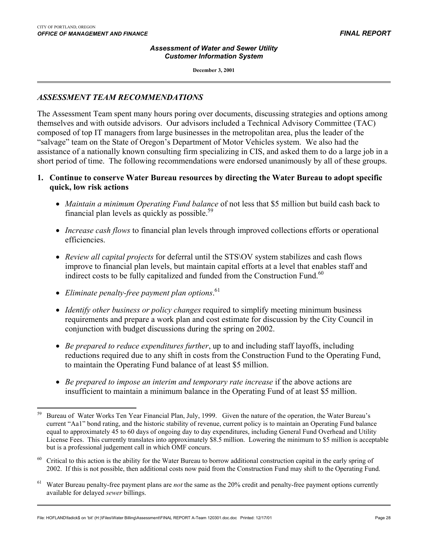$\overline{a}$ 

#### *Assessment of Water and Sewer Utility Customer Information System*

**December 3, 2001**

### *ASSESSMENT TEAM RECOMMENDATIONS*

The Assessment Team spent many hours poring over documents, discussing strategies and options among themselves and with outside advisors. Our advisors included a Technical Advisory Committee (TAC) composed of top IT managers from large businesses in the metropolitan area, plus the leader of the "salvage" team on the State of Oregon's Department of Motor Vehicles system. We also had the assistance of a nationally known consulting firm specializing in CIS, and asked them to do a large job in a short period of time. The following recommendations were endorsed unanimously by all of these groups.

### **1. Continue to conserve Water Bureau resources by directing the Water Bureau to adopt specific quick, low risk actions**

- *Maintain a minimum Operating Fund balance* of not less that \$5 million but build cash back to financial plan levels as quickly as possible.<sup>59</sup>
- *Increase cash flows* to financial plan levels through improved collections efforts or operational efficiencies.
- *Review all capital projects* for deferral until the STS\OV system stabilizes and cash flows improve to financial plan levels, but maintain capital efforts at a level that enables staff and indirect costs to be fully capitalized and funded from the Construction Fund.<sup>60</sup>
- *Eliminate penalty-free payment plan options*. [61](#page-29-2)
- *Identify other business or policy changes* required to simplify meeting minimum business requirements and prepare a work plan and cost estimate for discussion by the City Council in conjunction with budget discussions during the spring on 2002.
- *Be prepared to reduce expenditures further*, up to and including staff layoffs, including reductions required due to any shift in costs from the Construction Fund to the Operating Fund, to maintain the Operating Fund balance of at least \$5 million.
- *Be prepared to impose an interim and temporary rate increase* if the above actions are insufficient to maintain a minimum balance in the Operating Fund of at least \$5 million.

<span id="page-29-0"></span><sup>&</sup>lt;sup>59</sup> Bureau of Water Works Ten Year Financial Plan, July, 1999. Given the nature of the operation, the Water Bureau's current "Aa1" bond rating, and the historic stability of revenue, current policy is to maintain an Operating Fund balance equal to approximately 45 to 60 days of ongoing day to day expenditures, including General Fund Overhead and Utility License Fees. This currently translates into approximately \$8.5 million. Lowering the minimum to \$5 million is acceptable but is a professional judgement call in which OMF concurs.

<span id="page-29-1"></span> $60$  Critical to this action is the ability for the Water Bureau to borrow additional construction capital in the early spring of 2002. If this is not possible, then additional costs now paid from the Construction Fund may shift to the Operating Fund.

<span id="page-29-2"></span><sup>&</sup>lt;sup>61</sup> Water Bureau penalty-free payment plans are *not* the same as the 20% credit and penalty-free payment options currently available for delayed *sewer* billings.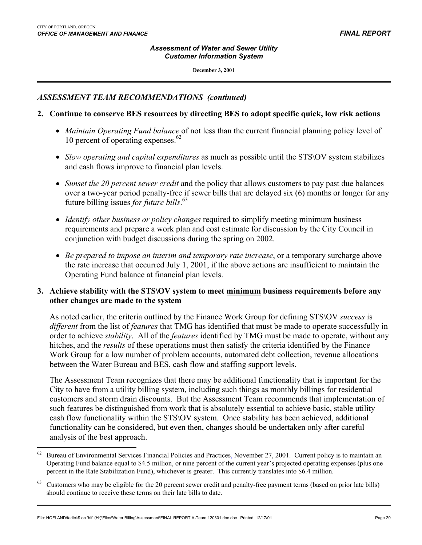#### *Assessment of Water and Sewer Utility Customer Information System*

**December 3, 2001**

### *ASSESSMENT TEAM RECOMMENDATIONS (continued)*

### **2. Continue to conserve BES resources by directing BES to adopt specific quick, low risk actions**

- *Maintain Operating Fund balance* of not less than the current financial planning policy level of 10 percent of operating expenses. $62$
- *Slow operating and capital expenditures* as much as possible until the STS\OV system stabilizes and cash flows improve to financial plan levels.
- *Sunset the 20 percent sewer credit* and the policy that allows customers to pay past due balances over a two-year period penalty-free if sewer bills that are delayed six (6) months or longer for any future billing issues *for future bills*. [63](#page-30-1)
- *Identify other business or policy changes* required to simplify meeting minimum business requirements and prepare a work plan and cost estimate for discussion by the City Council in conjunction with budget discussions during the spring on 2002.
- *Be prepared to impose an interim and temporary rate increase*, or a temporary surcharge above the rate increase that occurred July 1, 2001, if the above actions are insufficient to maintain the Operating Fund balance at financial plan levels.

### **3. Achieve stability with the STS\OV system to meet minimum business requirements before any other changes are made to the system**

As noted earlier, the criteria outlined by the Finance Work Group for defining STS\OV *success* is *different* from the list of *features* that TMG has identified that must be made to operate successfully in order to achieve *stability*. All of the *features* identified by TMG must be made to operate, without any hitches, and the *results* of these operations must then satisfy the criteria identified by the Finance Work Group for a low number of problem accounts, automated debt collection, revenue allocations between the Water Bureau and BES, cash flow and staffing support levels.

The Assessment Team recognizes that there may be additional functionality that is important for the City to have from a utility billing system, including such things as monthly billings for residential customers and storm drain discounts. But the Assessment Team recommends that implementation of such features be distinguished from work that is absolutely essential to achieve basic, stable utility cash flow functionality within the STS\OV system. Once stability has been achieved, additional functionality can be considered, but even then, changes should be undertaken only after careful analysis of the best approach.

<span id="page-30-0"></span><sup>62</sup> 62 Bureau of Environmental Services Financial Policies and Practices, November 27, 2001. Current policy is to maintain an Operating Fund balance equal to \$4.5 million, or nine percent of the current year's projected operating expenses (plus one percent in the Rate Stabilization Fund), whichever is greater. This currently translates into \$6.4 million.

<span id="page-30-1"></span>Customers who may be eligible for the 20 percent sewer credit and penalty-free payment terms (based on prior late bills) should continue to receive these terms on their late bills to date.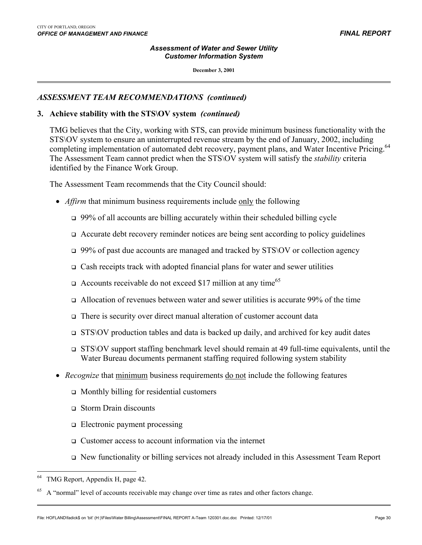#### *Assessment of Water and Sewer Utility Customer Information System*

**December 3, 2001**

### *ASSESSMENT TEAM RECOMMENDATIONS (continued)*

### **3. Achieve stability with the STS\OV system** *(continued)*

TMG believes that the City, working with STS, can provide minimum business functionality with the STS\OV system to ensure an uninterrupted revenue stream by the end of January, 2002, including completing implementation of automated debt recovery, payment plans, and Water Incentive Pricing.<sup>64</sup> The Assessment Team cannot predict when the STS\OV system will satisfy the *stability* criteria identified by the Finance Work Group.

The Assessment Team recommends that the City Council should:

- *Affirm* that minimum business requirements include only the following
	- 99% of all accounts are billing accurately within their scheduled billing cycle
	- $\Box$  Accurate debt recovery reminder notices are being sent according to policy guidelines
	- $\Box$  99% of past due accounts are managed and tracked by STS\OV or collection agency
	- $\Box$  Cash receipts track with adopted financial plans for water and sewer utilities
	- $\Box$  Accounts receivable do not exceed \$17 million at any time<sup>[65](#page-31-1)</sup>
	- $\Box$  Allocation of revenues between water and sewer utilities is accurate 99% of the time
	- There is security over direct manual alteration of customer account data
	- $STS\,OV$  production tables and data is backed up daily, and archived for key audit dates
	- STS\OV support staffing benchmark level should remain at 49 full-time equivalents, until the Water Bureau documents permanent staffing required following system stability
- *Recognize* that minimum business requirements do not include the following features
	- $\Box$  Monthly billing for residential customers
	- Storm Drain discounts
	- $\Box$  Electronic payment processing
	- Customer access to account information via the internet
	- New functionality or billing services not already included in this Assessment Team Report

<span id="page-31-0"></span>TMG Report, Appendix H, page 42.

<span id="page-31-1"></span><sup>&</sup>lt;sup>65</sup> A "normal" level of accounts receivable may change over time as rates and other factors change.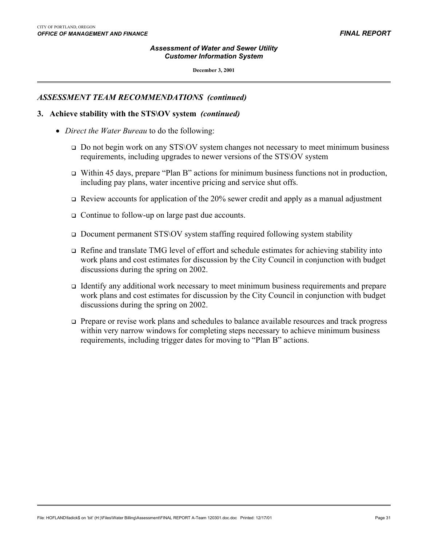#### *Assessment of Water and Sewer Utility Customer Information System*

**December 3, 2001**

### *ASSESSMENT TEAM RECOMMENDATIONS (continued)*

#### **3. Achieve stability with the STS\OV system** *(continued)*

- *Direct the Water Bureau* to do the following:
	- Do not begin work on any STS\OV system changes not necessary to meet minimum business requirements, including upgrades to newer versions of the STS\OV system
	- Within 45 days, prepare "Plan B" actions for minimum business functions not in production, including pay plans, water incentive pricing and service shut offs.
	- $\Box$  Review accounts for application of the 20% sewer credit and apply as a manual adjustment
	- Continue to follow-up on large past due accounts.
	- Document permanent STS\OV system staffing required following system stability
	- Refine and translate TMG level of effort and schedule estimates for achieving stability into work plans and cost estimates for discussion by the City Council in conjunction with budget discussions during the spring on 2002.
	- Identify any additional work necessary to meet minimum business requirements and prepare work plans and cost estimates for discussion by the City Council in conjunction with budget discussions during the spring on 2002.
	- Prepare or revise work plans and schedules to balance available resources and track progress within very narrow windows for completing steps necessary to achieve minimum business requirements, including trigger dates for moving to "Plan B" actions.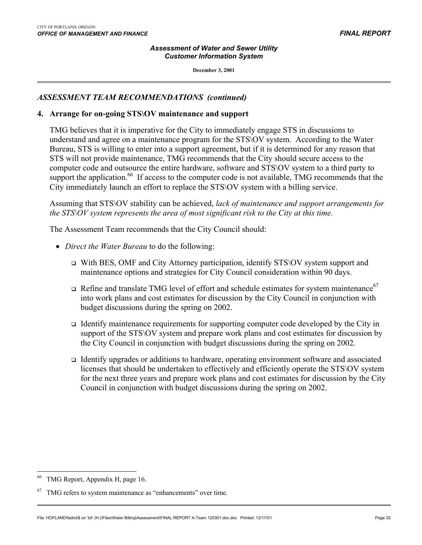#### *Assessment of Water and Sewer Utility Customer Information System*

**December 3, 2001**

### *ASSESSMENT TEAM RECOMMENDATIONS (continued)*

#### **4. Arrange for on-going STS\OV maintenance and support**

TMG believes that it is imperative for the City to immediately engage STS in discussions to understand and agree on a maintenance program for the STS\OV system. According to the Water Bureau, STS is willing to enter into a support agreement, but if it is determined for any reason that STS will not provide maintenance, TMG recommends that the City should secure access to the computer code and outsource the entire hardware, software and STS\OV system to a third party to support the application.<sup>66</sup> If access to the computer code is not available, TMG recommends that the City immediately launch an effort to replace the STS\OV system with a billing service.

Assuming that STS\OV stability can be achieved, *lack of maintenance and support arrangements for the STS\OV system represents the area of most significant risk to the City at this time.*

The Assessment Team recommends that the City Council should:

- *Direct the Water Bureau* to do the following:
	- With BES, OMF and City Attorney participation, identify STS\OV system support and maintenance options and strategies for City Council consideration within 90 days.
	- $\Box$  Refine and translate TMG level of effort and schedule estimates for system maintenance<sup>[67](#page-33-1)</sup> into work plans and cost estimates for discussion by the City Council in conjunction with budget discussions during the spring on 2002.
	- Identify maintenance requirements for supporting computer code developed by the City in support of the STS\OV system and prepare work plans and cost estimates for discussion by the City Council in conjunction with budget discussions during the spring on 2002.
	- Identify upgrades or additions to hardware, operating environment software and associated licenses that should be undertaken to effectively and efficiently operate the STS\OV system for the next three years and prepare work plans and cost estimates for discussion by the City Council in conjunction with budget discussions during the spring on 2002.

<span id="page-33-0"></span>TMG Report, Appendix H, page 16.

<span id="page-33-1"></span> $67$  TMG refers to system maintenance as "enhancements" over time.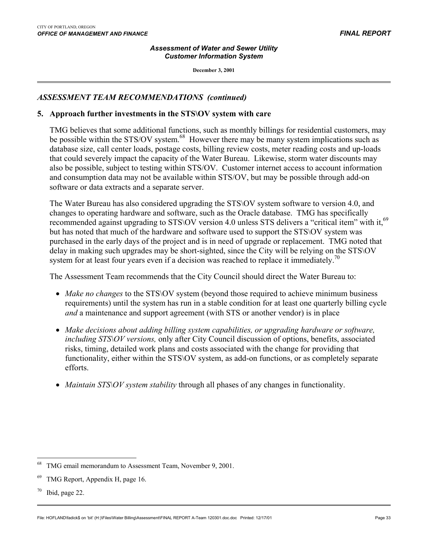#### *Assessment of Water and Sewer Utility Customer Information System*

**December 3, 2001**

### *ASSESSMENT TEAM RECOMMENDATIONS (continued)*

#### **5. Approach further investments in the STS\OV system with care**

TMG believes that some additional functions, such as monthly billings for residential customers, may be possible within the STS/OV system.<sup>68</sup> However there may be many system implications such as database size, call center loads, postage costs, billing review costs, meter reading costs and up-loads that could severely impact the capacity of the Water Bureau. Likewise, storm water discounts may also be possible, subject to testing within STS/OV. Customer internet access to account information and consumption data may not be available within STS/OV, but may be possible through add-on software or data extracts and a separate server.

The Water Bureau has also considered upgrading the STS\OV system software to version 4.0, and changes to operating hardware and software, such as the Oracle database. TMG has specifically recommended against upgrading to STS\OV version 4.0 unless STS delivers a "critical item" with it,<sup>69</sup> but has noted that much of the hardware and software used to support the STS\OV system was purchased in the early days of the project and is in need of upgrade or replacement. TMG noted that delay in making such upgrades may be short-sighted, since the City will be relying on the STS\OV system for at least four years even if a decision was reached to replace it immediately.<sup>70</sup>

The Assessment Team recommends that the City Council should direct the Water Bureau to:

- *Make no changes* to the STS\OV system (beyond those required to achieve minimum business requirements) until the system has run in a stable condition for at least one quarterly billing cycle *and* a maintenance and support agreement (with STS or another vendor) is in place
- *Make decisions about adding billing system capabilities, or upgrading hardware or software, including STS\OV versions,* only after City Council discussion of options, benefits, associated risks, timing, detailed work plans and costs associated with the change for providing that functionality, either within the STS\OV system, as add-on functions, or as completely separate efforts.
- *Maintain STS\OV system stability* through all phases of any changes in functionality.

<span id="page-34-0"></span><sup>68</sup> TMG email memorandum to Assessment Team, November 9, 2001.

<span id="page-34-1"></span><sup>69</sup> TMG Report, Appendix H, page 16.

<span id="page-34-2"></span> $70$  Ibid, page 22.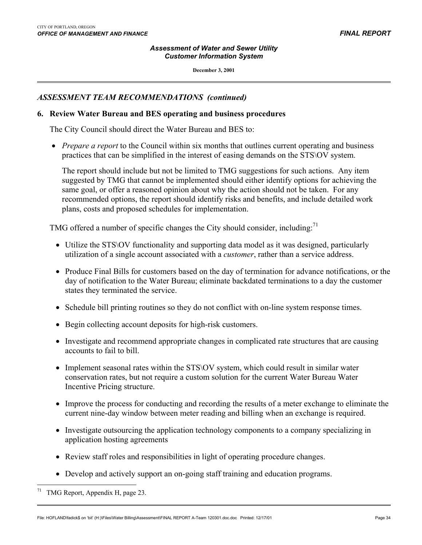#### *Assessment of Water and Sewer Utility Customer Information System*

**December 3, 2001**

### *ASSESSMENT TEAM RECOMMENDATIONS (continued)*

#### **6. Review Water Bureau and BES operating and business procedures**

The City Council should direct the Water Bureau and BES to:

• *Prepare a report* to the Council within six months that outlines current operating and business practices that can be simplified in the interest of easing demands on the STS\OV system.

The report should include but not be limited to TMG suggestions for such actions. Any item suggested by TMG that cannot be implemented should either identify options for achieving the same goal, or offer a reasoned opinion about why the action should not be taken. For any recommended options, the report should identify risks and benefits, and include detailed work plans, costs and proposed schedules for implementation.

TMG offered a number of specific changes the City should consider, including:<sup>71</sup>

- Utilize the STS\OV functionality and supporting data model as it was designed, particularly utilization of a single account associated with a *customer*, rather than a service address.
- Produce Final Bills for customers based on the day of termination for advance notifications, or the day of notification to the Water Bureau; eliminate backdated terminations to a day the customer states they terminated the service.
- Schedule bill printing routines so they do not conflict with on-line system response times.
- Begin collecting account deposits for high-risk customers.
- Investigate and recommend appropriate changes in complicated rate structures that are causing accounts to fail to bill.
- Implement seasonal rates within the STS\OV system, which could result in similar water conservation rates, but not require a custom solution for the current Water Bureau Water Incentive Pricing structure.
- Improve the process for conducting and recording the results of a meter exchange to eliminate the current nine-day window between meter reading and billing when an exchange is required.
- Investigate outsourcing the application technology components to a company specializing in application hosting agreements
- Review staff roles and responsibilities in light of operating procedure changes.
- Develop and actively support an on-going staff training and education programs.

<span id="page-35-0"></span>TMG Report, Appendix H, page 23.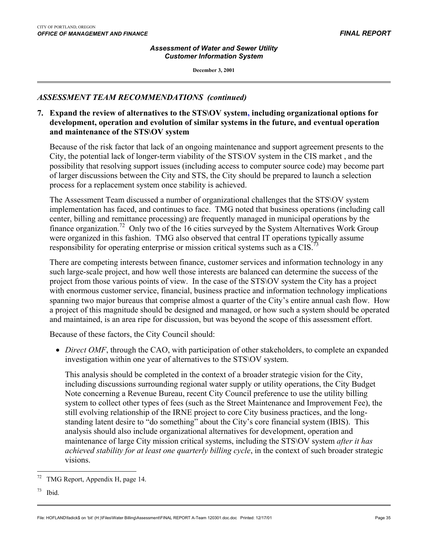#### *Assessment of Water and Sewer Utility Customer Information System*

**December 3, 2001**

## *ASSESSMENT TEAM RECOMMENDATIONS (continued)*

### **7. Expand the review of alternatives to the STS\OV system, including organizational options for development, operation and evolution of similar systems in the future, and eventual operation and maintenance of the STS\OV system**

Because of the risk factor that lack of an ongoing maintenance and support agreement presents to the City, the potential lack of longer-term viability of the STS\OV system in the CIS market , and the possibility that resolving support issues (including access to computer source code) may become part of larger discussions between the City and STS, the City should be prepared to launch a selection process for a replacement system once stability is achieved.

The Assessment Team discussed a number of organizational challenges that the STS\OV system implementation has faced, and continues to face. TMG noted that business operations (including call center, billing and remittance processing) are frequently managed in municipal operations by the finance organization[.72](#page-36-0) Only two of the 16 cities surveyed by the System Alternatives Work Group were organized in this fashion. TMG also observed that central IT operations typically assume responsibility for operating enterprise or mission critical systems such as a CIS.<sup>7</sup>

There are competing interests between finance, customer services and information technology in any such large-scale project, and how well those interests are balanced can determine the success of the project from those various points of view. In the case of the STS\OV system the City has a project with enormous customer service, financial, business practice and information technology implications spanning two major bureaus that comprise almost a quarter of the City's entire annual cash flow. How a project of this magnitude should be designed and managed, or how such a system should be operated and maintained, is an area ripe for discussion, but was beyond the scope of this assessment effort.

Because of these factors, the City Council should:

• *Direct OMF*, through the CAO, with participation of other stakeholders, to complete an expanded investigation within one year of alternatives to the STS\OV system.

This analysis should be completed in the context of a broader strategic vision for the City, including discussions surrounding regional water supply or utility operations, the City Budget Note concerning a Revenue Bureau, recent City Council preference to use the utility billing system to collect other types of fees (such as the Street Maintenance and Improvement Fee), the still evolving relationship of the IRNE project to core City business practices, and the longstanding latent desire to "do something" about the City's core financial system (IBIS). This analysis should also include organizational alternatives for development, operation and maintenance of large City mission critical systems, including the STS\OV system *after it has achieved stability for at least one quarterly billing cycle*, in the context of such broader strategic visions.

<span id="page-36-0"></span> $\overline{a}$ TMG Report, Appendix H, page 14.

<span id="page-36-1"></span> $73$  Ibid.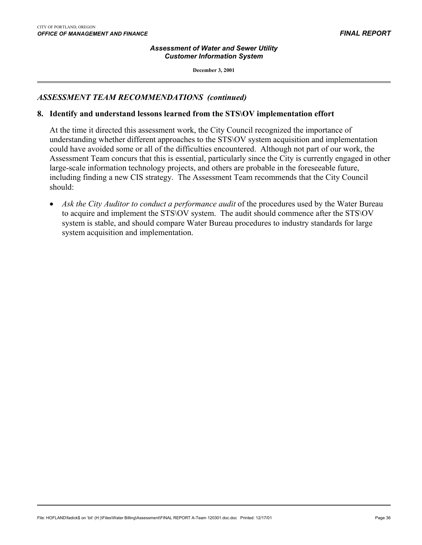#### *Assessment of Water and Sewer Utility Customer Information System*

**December 3, 2001**

### *ASSESSMENT TEAM RECOMMENDATIONS (continued)*

#### **8. Identify and understand lessons learned from the STS\OV implementation effort**

At the time it directed this assessment work, the City Council recognized the importance of understanding whether different approaches to the STS\OV system acquisition and implementation could have avoided some or all of the difficulties encountered. Although not part of our work, the Assessment Team concurs that this is essential, particularly since the City is currently engaged in other large-scale information technology projects, and others are probable in the foreseeable future, including finding a new CIS strategy. The Assessment Team recommends that the City Council should:

• *Ask the City Auditor to conduct a performance audit* of the procedures used by the Water Bureau to acquire and implement the STS\OV system. The audit should commence after the STS\OV system is stable, and should compare Water Bureau procedures to industry standards for large system acquisition and implementation.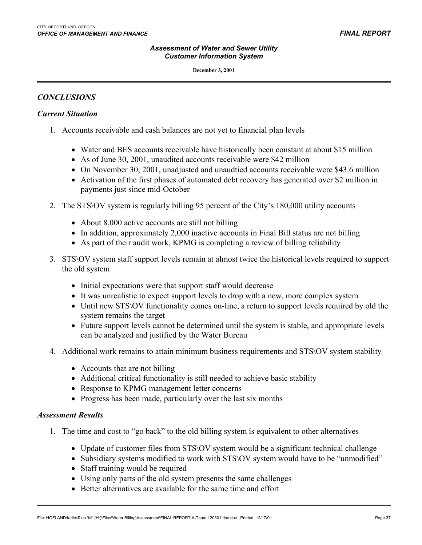#### **December 3, 2001**

### *CONCLUSIONS*

 $\overline{a}$ 

### *Current Situation*

- 1. Accounts receivable and cash balances are not yet to financial plan levels
	- Water and BES accounts receivable have historically been constant at about \$15 million
	- As of June 30, 2001, unaudited accounts receivable were \$42 million
	- On November 30, 2001, unadjusted and unaudtied accounts receivable were \$43.6 million
	- Activation of the first phases of automated debt recovery has generated over \$2 million in payments just since mid-October
- 2. The STS\OV system is regularly billing 95 percent of the City's 180,000 utility accounts
	- About 8,000 active accounts are still not billing
	- In addition, approximately 2,000 inactive accounts in Final Bill status are not billing
	- As part of their audit work, KPMG is completing a review of billing reliability
- 3. STS\OV system staff support levels remain at almost twice the historical levels required to support the old system
	- Initial expectations were that support staff would decrease
	- It was unrealistic to expect support levels to drop with a new, more complex system
	- Until new STS\OV functionality comes on-line, a return to support levels required by old the system remains the target
	- Future support levels cannot be determined until the system is stable, and appropriate levels can be analyzed and justified by the Water Bureau
- 4. Additional work remains to attain minimum business requirements and STS\OV system stability
	- Accounts that are not billing
	- Additional critical functionality is still needed to achieve basic stability
	- Response to KPMG management letter concerns
	- Progress has been made, particularly over the last six months

#### *Assessment Results*

- 1. The time and cost to "go back" to the old billing system is equivalent to other alternatives
	- Update of customer files from STS OV system would be a significant technical challenge
	- Subsidiary systems modified to work with STS\OV system would have to be "unmodified"
	- Staff training would be required
	- Using only parts of the old system presents the same challenges
	- Better alternatives are available for the same time and effort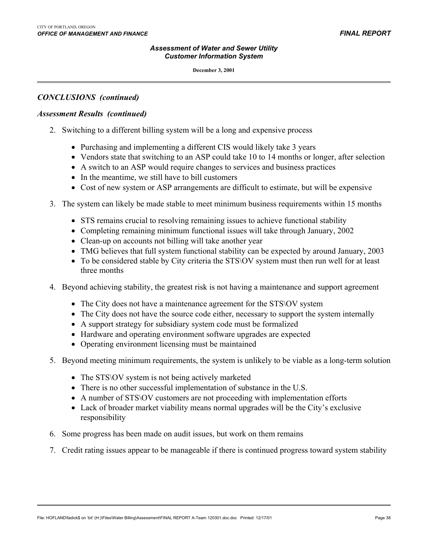### *CONCLUSIONS (continued)*

 $\overline{a}$ 

#### *Assessment Results (continued)*

- 2. Switching to a different billing system will be a long and expensive process
	- Purchasing and implementing a different CIS would likely take 3 years
	- Vendors state that switching to an ASP could take 10 to 14 months or longer, after selection
	- A switch to an ASP would require changes to services and business practices
	- In the meantime, we still have to bill customers
	- Cost of new system or ASP arrangements are difficult to estimate, but will be expensive
- 3. The system can likely be made stable to meet minimum business requirements within 15 months
	- STS remains crucial to resolving remaining issues to achieve functional stability
	- Completing remaining minimum functional issues will take through January, 2002
	- Clean-up on accounts not billing will take another year
	- TMG believes that full system functional stability can be expected by around January, 2003
	- To be considered stable by City criteria the STS\OV system must then run well for at least three months
- 4. Beyond achieving stability, the greatest risk is not having a maintenance and support agreement
	- The City does not have a maintenance agreement for the STS\OV system
	- The City does not have the source code either, necessary to support the system internally
	- A support strategy for subsidiary system code must be formalized
	- Hardware and operating environment software upgrades are expected
	- Operating environment licensing must be maintained
- 5. Beyond meeting minimum requirements, the system is unlikely to be viable as a long-term solution
	- The STS NOV system is not being actively marketed
	- There is no other successful implementation of substance in the U.S.
	- A number of STS\OV customers are not proceeding with implementation efforts
	- Lack of broader market viability means normal upgrades will be the City's exclusive responsibility
- 6. Some progress has been made on audit issues, but work on them remains
- 7. Credit rating issues appear to be manageable if there is continued progress toward system stability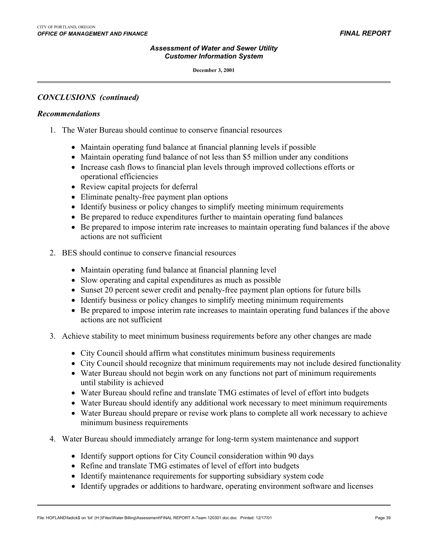#### **December 3, 2001**

### *CONCLUSIONS (continued)*

#### *Recommendations*

 $\overline{a}$ 

- 1. The Water Bureau should continue to conserve financial resources
	- Maintain operating fund balance at financial planning levels if possible
	- Maintain operating fund balance of not less than \$5 million under any conditions
	- Increase cash flows to financial plan levels through improved collections efforts or operational efficiencies
	- Review capital projects for deferral
	- Eliminate penalty-free payment plan options
	- Identify business or policy changes to simplify meeting minimum requirements
	- Be prepared to reduce expenditures further to maintain operating fund balances
	- Be prepared to impose interim rate increases to maintain operating fund balances if the above actions are not sufficient
- 2. BES should continue to conserve financial resources
	- Maintain operating fund balance at financial planning level
	- Slow operating and capital expenditures as much as possible
	- Sunset 20 percent sewer credit and penalty-free payment plan options for future bills
	- Identify business or policy changes to simplify meeting minimum requirements
	- Be prepared to impose interim rate increases to maintain operating fund balances if the above actions are not sufficient
- 3. Achieve stability to meet minimum business requirements before any other changes are made
	- City Council should affirm what constitutes minimum business requirements
	- City Council should recognize that minimum requirements may not include desired functionality
	- Water Bureau should not begin work on any functions not part of minimum requirements until stability is achieved
	- Water Bureau should refine and translate TMG estimates of level of effort into budgets
	- Water Bureau should identify any additional work necessary to meet minimum requirements
	- Water Bureau should prepare or revise work plans to complete all work necessary to achieve minimum business requirements
- 4. Water Bureau should immediately arrange for long-term system maintenance and support
	- Identify support options for City Council consideration within 90 days
	- Refine and translate TMG estimates of level of effort into budgets
	- Identify maintenance requirements for supporting subsidiary system code
	- Identify upgrades or additions to hardware, operating environment software and licenses